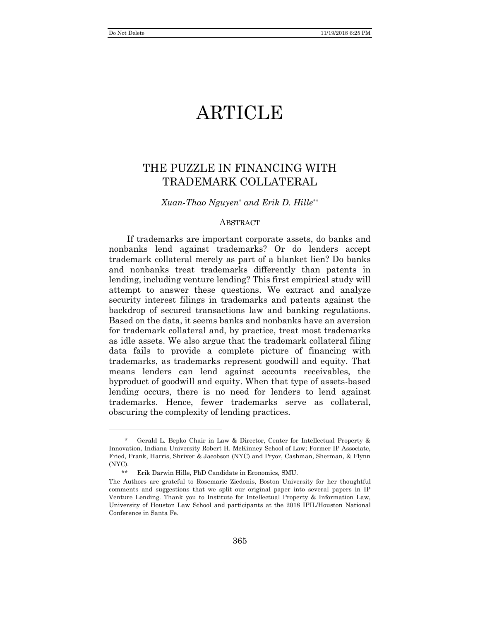# **ARTICLE**

## THE PUZZLE IN FINANCING WITH TRADEMARK COLLATERAL

### *Xuan-Thao Nguyen*\* *and Erik D. Hille*\*\*

### **ABSTRACT**

If trademarks are important corporate assets, do banks and nonbanks lend against trademarks? Or do lenders accept trademark collateral merely as part of a blanket lien? Do banks and nonbanks treat trademarks differently than patents in lending, including venture lending? This first empirical study will attempt to answer these questions. We extract and analyze security interest filings in trademarks and patents against the backdrop of secured transactions law and banking regulations. Based on the data, it seems banks and nonbanks have an aversion for trademark collateral and, by practice, treat most trademarks as idle assets. We also argue that the trademark collateral filing data fails to provide a complete picture of financing with trademarks, as trademarks represent goodwill and equity. That means lenders can lend against accounts receivables, the byproduct of goodwill and equity. When that type of assets-based lending occurs, there is no need for lenders to lend against trademarks. Hence, fewer trademarks serve as collateral, obscuring the complexity of lending practices.

<sup>\*</sup> Gerald L. Bepko Chair in Law & Director, Center for Intellectual Property & Innovation, Indiana University Robert H. McKinney School of Law; Former IP Associate, Fried, Frank, Harris, Shriver & Jacobson (NYC) and Pryor, Cashman, Sherman, & Flynn (NYC).

Erik Darwin Hille, PhD Candidate in Economics, SMU.

The Authors are grateful to Rosemarie Ziedonis, Boston University for her thoughtful comments and suggestions that we split our original paper into several papers in IP Venture Lending. Thank you to Institute for Intellectual Property & Information Law, University of Houston Law School and participants at the 2018 IPIL/Houston National Conference in Santa Fe.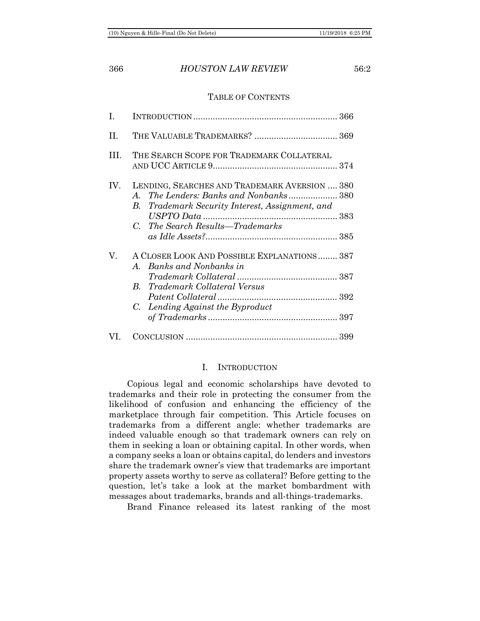### TABLE OF CONTENTS

| T.  |                                                                                                                                                                                                         |
|-----|---------------------------------------------------------------------------------------------------------------------------------------------------------------------------------------------------------|
| H.  |                                                                                                                                                                                                         |
| HL. | THE SEARCH SCOPE FOR TRADEMARK COLLATERAL                                                                                                                                                               |
| IV. | LENDING, SEARCHES AND TRADEMARK AVERSION  380<br><i>The Lenders: Banks and Nonbanks</i> 380<br>A.<br>Trademark Security Interest, Assignment, and<br>В.<br>The Search Results—Trademarks<br>$C_{\cdot}$ |
| V.  | A CLOSER LOOK AND POSSIBLE EXPLANATIONS 387<br>Banks and Nonbanks in<br>$A_{\cdot}$<br><b>B.</b> Trademark Collateral Versus<br>Lending Against the Byproduct<br>$C_{\cdot}$                            |
|     |                                                                                                                                                                                                         |

### I. INTRODUCTION

<span id="page-1-0"></span>Copious legal and economic scholarships have devoted to trademarks and their role in protecting the consumer from the likelihood of confusion and enhancing the efficiency of the marketplace through fair competition. This Article focuses on trademarks from a different angle: whether trademarks are indeed valuable enough so that trademark owners can rely on them in seeking a loan or obtaining capital. In other words, when a company seeks a loan or obtains capital, do lenders and investors share the trademark owner's view that trademarks are important property assets worthy to serve as collateral? Before getting to the question, let's take a look at the market bombardment with messages about trademarks, brands and all-things-trademarks.

Brand Finance released its latest ranking of the most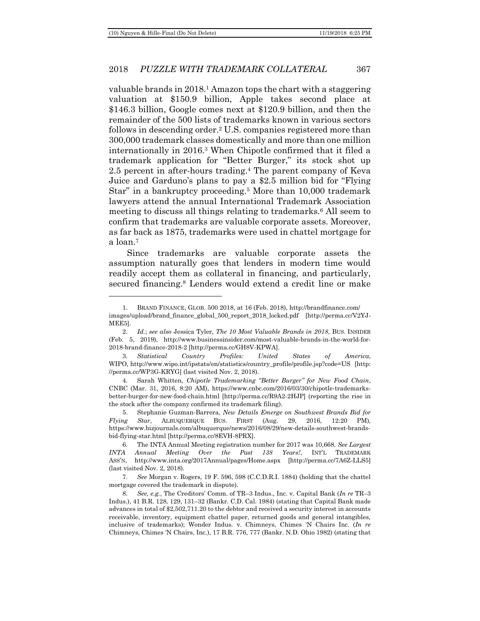### 2018 *PUZZLE WITH TRADEMARK COLLATERAL* 367

valuable brands in 2018.<sup>1</sup> Amazon tops the chart with a staggering valuation at \$150.9 billion, Apple takes second place at \$146.3 billion, Google comes next at \$120.9 billion, and then the remainder of the 500 lists of trademarks known in various sectors follows in descending order.<sup>2</sup> U.S. companies registered more than 300,000 trademark classes domestically and more than one million internationally in 2016.<sup>3</sup> When Chipotle confirmed that it filed a trademark application for "Better Burger," its stock shot up 2.5 percent in after-hours trading.<sup>4</sup> The parent company of Keva Juice and Garduno's plans to pay a \$2.5 million bid for "Flying Star" in a bankruptcy proceeding.<sup>5</sup> More than 10,000 trademark lawyers attend the annual International Trademark Association meeting to discuss all things relating to trademarks.<sup>6</sup> All seem to confirm that trademarks are valuable corporate assets. Moreover, as far back as 1875, trademarks were used in chattel mortgage for a loan.<sup>7</sup>

<span id="page-2-0"></span>Since trademarks are valuable corporate assets the assumption naturally goes that lenders in modern time would readily accept them as collateral in financing, and particularly, secured financing.<sup>8</sup> Lenders would extend a credit line or make

<sup>1.</sup> BRAND FINANCE, GLOB. 500 2018, at 16 (Feb. 2018), http://brandfinance.com/ images/upload/brand\_finance\_global\_500\_report\_2018\_locked.pdf [http://perma.cc/V2YJ-MEE5].

<sup>2.</sup> *Id.*; *see also* Jessica Tyler, *The 10 Most Valuable Brands in 2018*, BUS. INSIDER (Feb. 5, 2019), http://www.businessinsider.com/most-valuable-brands-in-the-world-for-2018-brand-finance-2018-2 [http://perma.cc/GH8V-KPWA].

<sup>3.</sup> *Statistical Country Profiles: United States of America*, WIPO, http://www.wipo.int/ipstats/en/statistics/country\_profile/profile.jsp?code=US [http: //perma.cc/WP3G-KRYG] (last visited Nov. 2, 2018).

<sup>4.</sup> Sarah Whitten, *Chipotle Trademarking "Better Burger" for New Food Chain*, CNBC (Mar. 31, 2016, 8:20 AM), https://www.cnbc.com/2016/03/30/chipotle-trademarksbetter-burger-for-new-food-chain.html [http://perma.cc/R9A2-2HJP] (reporting the rise in the stock after the company confirmed its trademark filing).

<sup>5.</sup> Stephanie Guzman-Barrera, *New Details Emerge on Southwest Brands Bid for Flying Star*, ALBUQUERQUE BUS. FIRST (Aug. 29, 2016, 12:20 PM), https://www.bizjournals.com/albuquerque/news/2016/08/29/new-details-southwest-brandsbid-flying-star.html [http://perma.cc/8EVH-8PRX].

<sup>6.</sup> The INTA Annual Meeting registration number for 2017 was 10,668. *See Largest INTA Annual Meeting Over the Past 138 Years!*, INT'L TRADEMARK ASS'N, http://www.inta.org/2017Annual/pages/Home.aspx [http://perma.cc/7A6Z-LLS5] (last visited Nov. 2, 2018).

<sup>7.</sup> *See* Morgan v. Rogers, 19 F. 596, 598 (C.C.D.R.I. 1884) (holding that the chattel mortgage covered the trademark in dispute).

<sup>8.</sup> *See, e.g.*, The Creditors' Comm. of TR–3 Indus., Inc. v. Capital Bank (*In re* TR–3 Indus.), 41 B.R. 128, 129, 131–32 (Bankr. C.D. Cal. 1984) (stating that Capital Bank made advances in total of \$2,502,711.20 to the debtor and received a security interest in accounts receivable, inventory, equipment chattel paper, returned goods and general intangibles, inclusive of trademarks); Wonder Indus. v. Chimneys, Chimes 'N Chairs Inc. (*In re* Chimneys, Chimes 'N Chairs, Inc.), 17 B.R. 776, 777 (Bankr. N.D. Ohio 1982) (stating that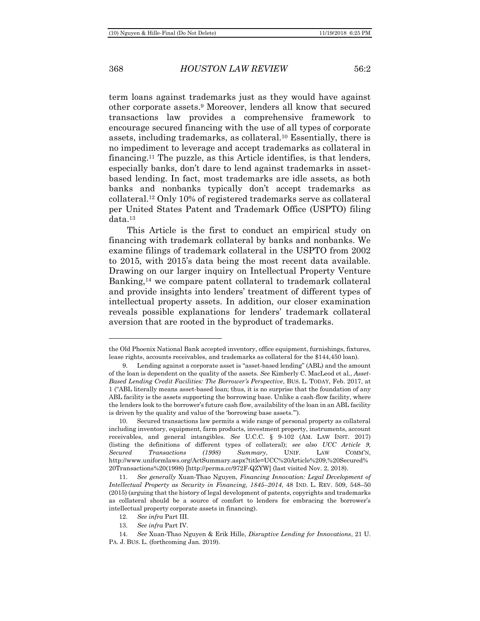### 368 *HOUSTON LAW REVIEW* 56:2

<span id="page-3-0"></span>term loans against trademarks just as they would have against other corporate assets.<sup>9</sup> Moreover, lenders all know that secured transactions law provides a comprehensive framework to encourage secured financing with the use of all types of corporate assets, including trademarks, as collateral.<sup>10</sup> Essentially, there is no impediment to leverage and accept trademarks as collateral in financing.<sup>11</sup> The puzzle, as this Article identifies, is that lenders, especially banks, don't dare to lend against trademarks in assetbased lending. In fact, most trademarks are idle assets, as both banks and nonbanks typically don't accept trademarks as collateral.<sup>12</sup> Only 10% of registered trademarks serve as collateral per United States Patent and Trademark Office (USPTO) filing data.<sup>13</sup>

<span id="page-3-1"></span>This Article is the first to conduct an empirical study on financing with trademark collateral by banks and nonbanks. We examine filings of trademark collateral in the USPTO from 2002 to 2015, with 2015's data being the most recent data available. Drawing on our larger inquiry on Intellectual Property Venture Banking, <sup>14</sup> we compare patent collateral to trademark collateral and provide insights into lenders' treatment of different types of intellectual property assets. In addition, our closer examination reveals possible explanations for lenders' trademark collateral aversion that are rooted in the byproduct of trademarks.

the Old Phoenix National Bank accepted inventory, office equipment, furnishings, fixtures, lease rights, accounts receivables, and trademarks as collateral for the \$144,450 loan).

<sup>9.</sup> Lending against a corporate asset is "asset-based lending" (ABL) and the amount of the loan is dependent on the quality of the assets. *See* Kimberly C. MacLeod et al., *Asset-Based Lending Credit Facilities: The Borrower's Perspective*, BUS. L. TODAY, Feb. 2017, at 1 ("ABL literally means asset-based loan; thus, it is no surprise that the foundation of any ABL facility is the assets supporting the borrowing base. Unlike a cash-flow facility, where the lenders look to the borrower's future cash flow, availability of the loan in an ABL facility is driven by the quality and value of the 'borrowing base assets.'").

<sup>10.</sup> Secured transactions law permits a wide range of personal property as collateral including inventory, equipment, farm products, investment property, instruments, account receivables, and general intangibles. *See* U.C.C. § 9-102 (AM. LAW INST. 2017) (listing the definitions of different types of collateral); *see also UCC Article 9, Secured Transactions (1998) Summary*, UNIF. LAW COMM'N, http://www.uniformlaws.org/ActSummary.aspx?title=UCC%20Article%209,%20Secured% 20Transactions%20(1998) [http://perma.cc/972F-QZYW] (last visited Nov. 2, 2018).

<sup>11.</sup> *See generally* Xuan-Thao Nguyen, *Financing Innovation: Legal Development of Intellectual Property as Security in Financing, 1845*–*2014*, 48 IND. L. REV. 509, 548–50 (2015) (arguing that the history of legal development of patents, copyrights and trademarks as collateral should be a source of comfort to lenders for embracing the borrower's intellectual property corporate assets in financing).

<sup>12.</sup> *See infra* Part III.

<sup>13.</sup> *See infra* Part IV.

<sup>14.</sup> *See* Xuan-Thao Nguyen & Erik Hille, *Disruptive Lending for Innovations*, 21 U. PA. J. BUS. L. (forthcoming Jan. 2019).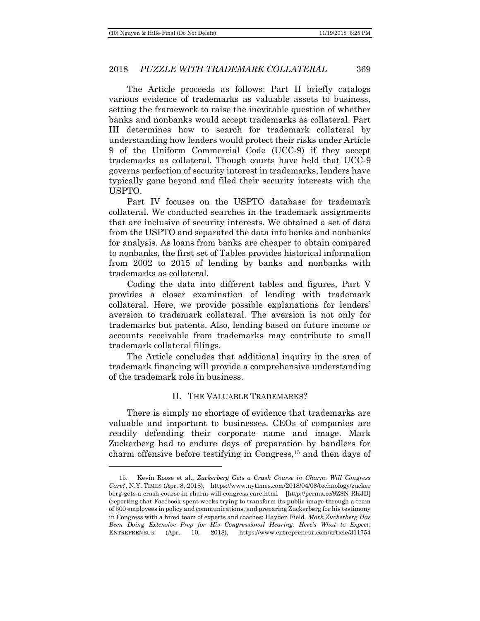The Article proceeds as follows: Part II briefly catalogs various evidence of trademarks as valuable assets to business, setting the framework to raise the inevitable question of whether banks and nonbanks would accept trademarks as collateral. Part III determines how to search for trademark collateral by understanding how lenders would protect their risks under Article 9 of the Uniform Commercial Code (UCC-9) if they accept trademarks as collateral. Though courts have held that UCC-9 governs perfection of security interest in trademarks, lenders have typically gone beyond and filed their security interests with the USPTO.

Part IV focuses on the USPTO database for trademark collateral. We conducted searches in the trademark assignments that are inclusive of security interests. We obtained a set of data from the USPTO and separated the data into banks and nonbanks for analysis. As loans from banks are cheaper to obtain compared to nonbanks, the first set of Tables provides historical information from 2002 to 2015 of lending by banks and nonbanks with trademarks as collateral.

Coding the data into different tables and figures, Part V provides a closer examination of lending with trademark collateral. Here, we provide possible explanations for lenders' aversion to trademark collateral. The aversion is not only for trademarks but patents. Also, lending based on future income or accounts receivable from trademarks may contribute to small trademark collateral filings.

The Article concludes that additional inquiry in the area of trademark financing will provide a comprehensive understanding of the trademark role in business.

### II. THE VALUABLE TRADEMARKS?

<span id="page-4-0"></span>There is simply no shortage of evidence that trademarks are valuable and important to businesses. CEOs of companies are readily defending their corporate name and image. Mark Zuckerberg had to endure days of preparation by handlers for charm offensive before testifying in Congress,<sup>15</sup> and then days of

<sup>15.</sup> Kevin Roose et al., *Zuckerberg Gets a Crash Course in Charm. Will Congress Care?*, N.Y. TIMES (Apr. 8, 2018), https://www.nytimes.com/2018/04/08/technology/zucker berg-gets-a-crash-course-in-charm-will-congress-care.html [http://perma.cc/9Z8N-RKJD] (reporting that Facebook spent weeks trying to transform its public image through a team of 500 employees in policy and communications, and preparing Zuckerberg for his testimony in Congress with a hired team of experts and coaches; Hayden Field, *Mark Zuckerberg Has Been Doing Extensive Prep for His Congressional Hearing: Here's What to Expect*, ENTREPRENEUR (Apr. 10, 2018), https://www.entrepreneur.com/article/311754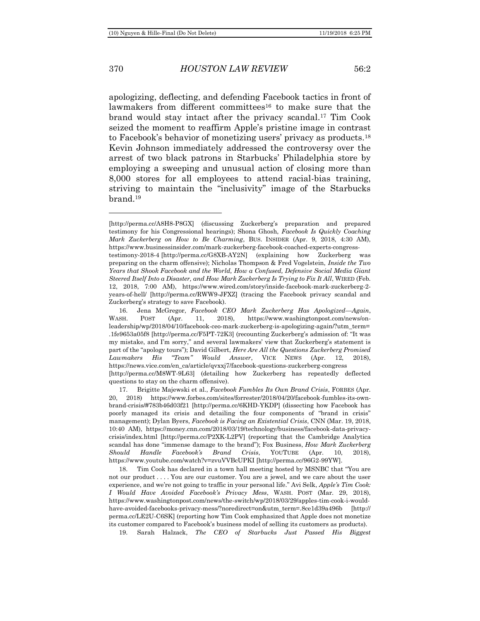### 370 *HOUSTON LAW REVIEW* 56:2

apologizing, deflecting, and defending Facebook tactics in front of lawmakers from different committees<sup>16</sup> to make sure that the brand would stay intact after the privacy scandal.<sup>17</sup> Tim Cook seized the moment to reaffirm Apple's pristine image in contrast to Facebook's behavior of monetizing users' privacy as products.<sup>18</sup> Kevin Johnson immediately addressed the controversy over the arrest of two black patrons in Starbucks' Philadelphia store by employing a sweeping and unusual action of closing more than 8,000 stores for all employees to attend racial-bias training, striving to maintain the "inclusivity" image of the Starbucks brand.<sup>19</sup>

19. Sarah Halzack, *The CEO of Starbucks Just Passed His Biggest* 

<span id="page-5-0"></span><sup>[</sup>http://perma.cc/A8H8-P8GX] (discussing Zuckerberg's preparation and prepared testimony for his Congressional hearings); Shona Ghosh, *Facebook Is Quickly Coaching Mark Zuckerberg on How to Be Charming*, BUS. INSIDER (Apr. 9, 2018, 4:30 AM), https://www.businessinsider.com/mark-zuckerberg-facebook-coached-experts-congress-

testimony-2018-4 [http://perma.cc/G8XB-AY2N] (explaining how Zuckerberg was preparing on the charm offensive); Nicholas Thompson & Fred Vogelstein, *Inside the Two Years that Shook Facebook and the World, How a Confused, Defensive Social Media Giant Steered Itself Into a Disaster, and How Mark Zuckerberg Is Trying to Fix It All*, WIRED (Feb. 12, 2018, 7:00 AM), https://www.wired.com/story/inside-facebook-mark-zuckerberg-2 years-of-hell/ [http://perma.cc/RWW9-JFXZ] (tracing the Facebook privacy scandal and Zuckerberg's strategy to save Facebook).

<sup>16.</sup> Jena McGregor, *Facebook CEO Mark Zuckerberg Has Apologized—Again*, WASH. POST (Apr. 11, 2018), https://www.washingtonpost.com/news/onleadership/wp/2018/04/10/facebook-ceo-mark-zuckerberg-is-apologizing-again/?utm\_term= .1fe9653a05f8 [http://perma.cc/F5PT-72K3] (recounting Zuckerberg's admission of: "It was my mistake, and I'm sorry," and several lawmakers' view that Zuckerberg's statement is part of the "apology tours"); David Gilbert, *Here Are All the Questions Zuckerberg Promised Lawmakers His "Team" Would Answer*, VICE NEWS (Apr. 12, 2018), https://news.vice.com/en\_ca/article/qvxxj7/facebook-questions-zuckerberg-congress [http://perma.cc/M8WT-9L63] (detailing how Zuckerberg has repeatedly deflected

questions to stay on the charm offensive). 17. Brigitte Majewski et al., *Facebook Fumbles Its Own Brand Crisis*, FORBES (Apr.

<sup>20, 2018)</sup> https://www.forbes.com/sites/forrester/2018/04/20/facebook-fumbles-its-ownbrand-crisis/#783b46d03f21 [http://perma.cc/6KHD-YKDP] (dissecting how Facebook has poorly managed its crisis and detailing the four components of "brand in crisis" management); Dylan Byers, *Facebook is Facing an Existential Crisis*, CNN (Mar. 19, 2018, 10:40 AM), https://money.cnn.com/2018/03/19/technology/business/facebook-data-privacycrisis/index.html [http://perma.cc/P2XK-L2PV] (reporting that the Cambridge Analytica scandal has done "immense damage to the brand"); Fox Business, *How Mark Zuckerberg Should Handle Facebook's Brand Crisis*, YOUTUBE (Apr. 10, 2018), https://www.youtube.com/watch?v=zvuVVBcUPKI [http://perma.cc/96G2-99YW].

<sup>18.</sup> Tim Cook has declared in a town hall meeting hosted by MSNBC that "You are not our product . . . . You are our customer. You are a jewel, and we care about the user experience, and we're not going to traffic in your personal life." Avi Selk, *Apple's Tim Cook: I Would Have Avoided Facebook's Privacy Mess*, WASH. POST (Mar. 29, 2018), https://www.washingtonpost.com/news/the-switch/wp/2018/03/29/apples-tim-cook-i-wouldhave-avoided-facebooks-privacy-mess/?noredirect=on&utm\_term=.8ce1d39a496b [http:// perma.cc/LE2U-C6SK] (reporting how Tim Cook emphasized that Apple does not monetize its customer compared to Facebook's business model of selling its customers as products).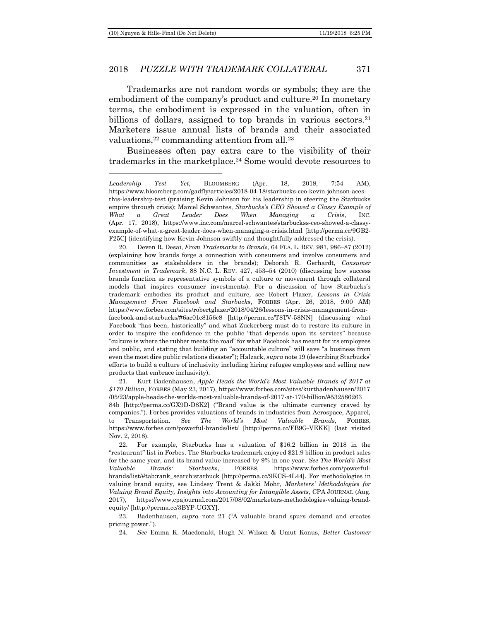### 2018 *PUZZLE WITH TRADEMARK COLLATERAL* 371

<span id="page-6-0"></span>Trademarks are not random words or symbols; they are the embodiment of the company's product and culture.<sup>20</sup> In monetary terms, the embodiment is expressed in the valuation, often in billions of dollars, assigned to top brands in various sectors.<sup>21</sup> Marketers issue annual lists of brands and their associated valuations,<sup>22</sup> commanding attention from all.<sup>23</sup>

Businesses often pay extra care to the visibility of their trademarks in the marketplace.<sup>24</sup> Some would devote resources to

21. Kurt Badenhausen, *Apple Heads the World's Most Valuable Brands of 2017 at \$170 Billion*, FORBES (May 23, 2017), https://www.forbes.com/sites/kurtbadenhausen/2017 /05/23/apple-heads-the-worlds-most-valuable-brands-of-2017-at-170-billion/#532586263

84b [http://perma.cc/GX9D-D8K2] ("Brand value is the ultimate currency craved by companies."). Forbes provides valuations of brands in industries from Aerospace, Apparel, to Transportation. *See The World's Most Valuable Brands*, FORBES, https://www.forbes.com/powerful-brands/list/ [http://perma.cc/FB9G-VEKK] (last visited Nov. 2, 2018).

22. For example, Starbucks has a valuation of \$16.2 billion in 2018 in the "restaurant" list in Forbes. The Starbucks trademark enjoyed \$21.9 billion in product sales for the same year, and its brand value increased by 9% in one year. *See The World's Most Valuable Brands: Starbucks*, FORBES, https://www.forbes.com/powerfulbrands/list/#tab:rank\_search:starbuck [http://perma.cc/9KCS-4L44]. For methodologies in valuing brand equity, see Lindsey Trent & Jakki Mohr, *Marketers' Methodologies for Valuing Brand Equity, Insights into Accounting for Intangible Assets*, CPA JOURNAL (Aug. 2017), https://www.cpajournal.com/2017/08/02/marketers-methodologies-valuing-brandequity/ [http://perma.cc/3BYP-UGXY].

23. Badenhausen, *supra* note [21](#page-6-0) ("A valuable brand spurs demand and creates pricing power.").

24. *See* Emma K. Macdonald, Hugh N. Wilson & Umut Konus, *Better Customer* 

*Leadership Test Yet*, BLOOMBERG (Apr. 18, 2018, 7:54 AM), https://www.bloomberg.com/gadfly/articles/2018-04-18/starbucks-ceo-kevin-johnson-acesthis-leadership-test (praising Kevin Johnson for his leadership in steering the Starbucks empire through crisis); Marcel Schwantes, *Starbucks's CEO Showed a Classy Example of What a Great Leader Does When Managing a Crisis*, INC. (Apr. 17, 2018), https://www.inc.com/marcel-schwantes/starbuckss-ceo-showed-a-classyexample-of-what-a-great-leader-does-when-managing-a-crisis.html [http://perma.cc/9GB2- F25C] (identifying how Kevin Johnson swiftly and thoughtfully addressed the crisis).

<sup>20.</sup> Deven R. Desai, *From Trademarks to Brands*, 64 FLA. L. REV. 981, 986–87 (2012) (explaining how brands forge a connection with consumers and involve consumers and communities as stakeholders in the brands); Deborah R. Gerhardt, *Consumer Investment in Trademark*, 88 N.C. L. REV. 427, 453–54 (2010) (discussing how success brands function as representative symbols of a culture or movement through collateral models that inspires consumer investments). For a discussion of how Starbucks's trademark embodies its product and culture, see Robert Flazer, *Lessons in Crisis Management From Facebook and Starbucks*, FORBES (Apr. 26, 2018, 9:00 AM) https://www.forbes.com/sites/robertglazer/2018/04/26/lessons-in-crisis-management-fromfacebook-and-starbucks/#6ac01c8156c8 [http://perma.cc/T8TV-58NN] (discussing what Facebook "has been, historically" and what Zuckerberg must do to restore its culture in order to inspire the confidence in the public "that depends upon its services" because "culture is where the rubber meets the road" for what Facebook has meant for its employees and public, and stating that building an "accountable culture" will save "a business from even the most dire public relations disaster"); Halzack, *supra* not[e 19](#page-5-0) (describing Starbucks' efforts to build a culture of inclusivity including hiring refugee employees and selling new products that embrace inclusivity).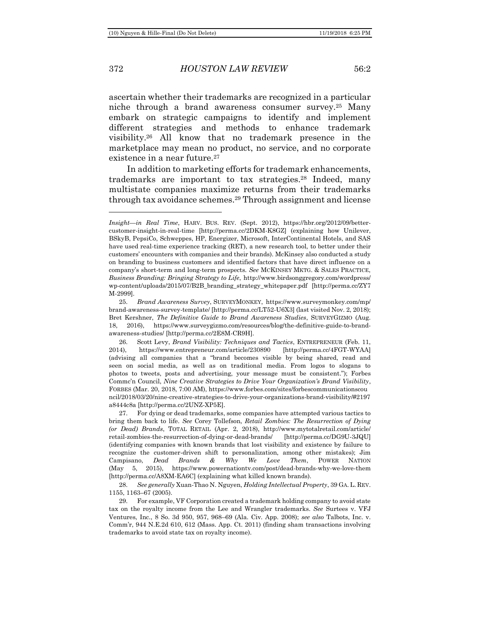372 *HOUSTON LAW REVIEW* 56:2

ascertain whether their trademarks are recognized in a particular niche through a brand awareness consumer survey.<sup>25</sup> Many embark on strategic campaigns to identify and implement different strategies and methods to enhance trademark visibility.<sup>26</sup> All know that no trademark presence in the marketplace may mean no product, no service, and no corporate existence in a near future.<sup>27</sup>

In addition to marketing efforts for trademark enhancements, trademarks are important to tax strategies.<sup>28</sup> Indeed, many multistate companies maximize returns from their trademarks through tax avoidance schemes.<sup>29</sup> Through assignment and license

*Insight—in Real Time*, HARV. BUS. REV. (Sept. 2012), https://hbr.org/2012/09/bettercustomer-insight-in-real-time [http://perma.cc/2DKM-K8GZ] (explaining how Unilever, BSkyB, PepsiCo, Schweppes, HP, Energizer, Microsoft, InterContinental Hotels, and SAS have used real-time experience tracking (RET), a new research tool, to better under their customers' encounters with companies and their brands). McKinsey also conducted a study on branding to business customers and identified factors that have direct influence on a company's short-term and long-term prospects. *See* MCKINSEY MKTG. & SALES PRACTICE, *Business Branding: Bringing Strategy to Life*, http://www.birdsonggregory.com/wordpress/ wp-content/uploads/2015/07/B2B\_branding\_strategy\_whitepaper.pdf [http://perma.cc/ZY7 M-2999].

<sup>25.</sup> *Brand Awareness Survey*, SURVEYMONKEY, https://www.surveymonkey.com/mp/ brand-awareness-survey-template/ [http://perma.cc/LT52-U6X3] (last visited Nov. 2, 2018); Bret Kershner, *The Definitive Guide to Brand Awareness Studies*, SURVEYGIZMO (Aug. 18, 2016), https://www.surveygizmo.com/resources/blog/the-definitive-guide-to-brandawareness-studies/ [http://perma.cc/2E8M-CR9H].

<sup>26.</sup> Scott Levy, *Brand Visibility: Techniques and Tactics*, ENTREPRENEUR (Feb. 11, 2014), https://www.entrepreneur.com/article/230890 [http://perma.cc/4FGT-WYAA] (advising all companies that a "brand becomes visible by being shared, read and seen on social media, as well as on traditional media. From logos to slogans to photos to tweets, posts and advertising, your message must be consistent."); Forbes Commc'n Council, *Nine Creative Strategies to Drive Your Organization's Brand Visibility*, FORBES (Mar. 20, 2018, 7:00 AM), https://www.forbes.com/sites/forbescommunicationscou ncil/2018/03/20/nine-creative-strategies-to-drive-your-organizations-brand-visibility/#2197 a8444c8a [http://perma.cc/2UNZ-XP5E].

<sup>27.</sup> For dying or dead trademarks, some companies have attempted various tactics to bring them back to life. *See* Corey Tollefson, *Retail Zombies: The Resurrection of Dying (or Dead) Brands*, TOTAL RETAIL (Apr. 2, 2018), http://www.mytotalretail.com/article/ retail-zombies-the-resurrection-of-dying-or-dead-brands/ [http://perma.cc/DG9U-3JQU] (identifying companies with known brands that lost visibility and existence by failure to recognize the customer-driven shift to personalization, among other mistakes); Jim Campisano, *Dead Brands & Why We Love Them*, POWER NATION (May 5, 2015), https://www.powernationtv.com/post/dead-brands-why-we-love-them [http://perma.cc/A8XM-EA6C] (explaining what killed known brands).

<sup>28.</sup> *See generally* Xuan-Thao N. Nguyen, *Holding Intellectual Property*, 39 GA. L. REV. 1155, 1163–67 (2005).

<sup>29.</sup> For example, VF Corporation created a trademark holding company to avoid state tax on the royalty income from the Lee and Wrangler trademarks. *See* Surtees v. VFJ Ventures, Inc., 8 So. 3d 950, 957, 968–69 (Ala. Civ. App. 2008); *see also* Talbots, Inc. v. Comm'r, 944 N.E.2d 610, 612 (Mass. App. Ct. 2011) (finding sham transactions involving trademarks to avoid state tax on royalty income).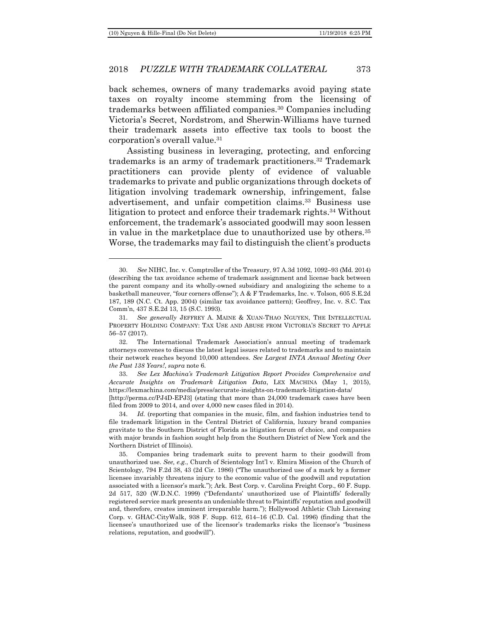### 2018 *PUZZLE WITH TRADEMARK COLLATERAL* 373

back schemes, owners of many trademarks avoid paying state taxes on royalty income stemming from the licensing of trademarks between affiliated companies.<sup>30</sup> Companies including Victoria's Secret, Nordstrom, and Sherwin-Williams have turned their trademark assets into effective tax tools to boost the corporation's overall value.<sup>31</sup>

Assisting business in leveraging, protecting, and enforcing trademarks is an army of trademark practitioners.<sup>32</sup> Trademark practitioners can provide plenty of evidence of valuable trademarks to private and public organizations through dockets of litigation involving trademark ownership, infringement, false advertisement, and unfair competition claims.<sup>33</sup> Business use litigation to protect and enforce their trademark rights.<sup>34</sup> Without enforcement, the trademark's associated goodwill may soon lessen in value in the marketplace due to unauthorized use by others.<sup>35</sup> Worse, the trademarks may fail to distinguish the client's products

<sup>30.</sup> *See* NIHC, Inc. v. Comptroller of the Treasury, 97 A.3d 1092, 1092–93 (Md. 2014) (describing the tax avoidance scheme of trademark assignment and license back between the parent company and its wholly-owned subsidiary and analogizing the scheme to a basketball maneuver, "four corners offense"); A & F Trademarks, Inc. v. Tolson, 605 S.E.2d 187, 189 (N.C. Ct. App. 2004) (similar tax avoidance pattern); Geoffrey, Inc. v. S.C. Tax Comm'n, 437 S.E.2d 13, 15 (S.C. 1993).

<sup>31.</sup> *See generally* JEFFREY A. MAINE & XUAN-THAO NGUYEN, THE INTELLECTUAL PROPERTY HOLDING COMPANY: TAX USE AND ABUSE FROM VICTORIA'S SECRET TO APPLE 56–57 (2017).

<sup>32.</sup> The International Trademark Association's annual meeting of trademark attorneys convenes to discuss the latest legal issues related to trademarks and to maintain their network reaches beyond 10,000 attendees. *See Largest INTA Annual Meeting Over the Past 138 Years!*, *supra* note [6.](#page-2-0)

<sup>33.</sup> *See Lex Machina's Trademark Litigation Report Provides Comprehensive and Accurate Insights on Trademark Litigation Data*, LEX MACHINA (May 1, 2015), https://lexmachina.com/media/press/accurate-insights-on-trademark-litigation-data/ [http://perma.cc/PJ4D-EPJ3] (stating that more than 24,000 trademark cases have been filed from 2009 to 2014, and over 4,000 new cases filed in 2014).

<sup>34.</sup> *Id.* (reporting that companies in the music, film, and fashion industries tend to file trademark litigation in the Central District of California, luxury brand companies gravitate to the Southern District of Florida as litigation forum of choice, and companies with major brands in fashion sought help from the Southern District of New York and the Northern District of Illinois).

<sup>35.</sup> Companies bring trademark suits to prevent harm to their goodwill from unauthorized use. *See, e.g.*, Church of Scientology Int'l v. Elmira Mission of the Church of Scientology, 794 F.2d 38, 43 (2d Cir. 1986) ("The unauthorized use of a mark by a former licensee invariably threatens injury to the economic value of the goodwill and reputation associated with a licensor's mark."); Ark. Best Corp. v. Carolina Freight Corp., 60 F. Supp. 2d 517, 520 (W.D.N.C. 1999) ("Defendants' unauthorized use of Plaintiffs' federally registered service mark presents an undeniable threat to Plaintiffs' reputation and goodwill and, therefore, creates imminent irreparable harm."); Hollywood Athletic Club Licensing Corp. v. GHAC-CityWalk, 938 F. Supp. 612, 614–16 (C.D. Cal. 1996) (finding that the licensee's unauthorized use of the licensor's trademarks risks the licensor's "business relations, reputation, and goodwill").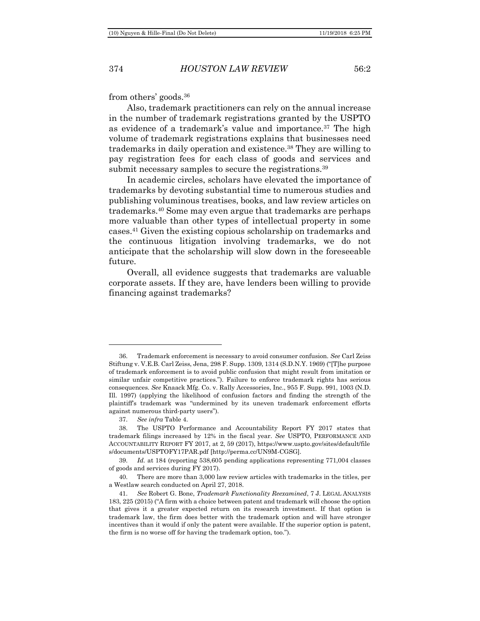from others' goods.<sup>36</sup>

Also, trademark practitioners can rely on the annual increase in the number of trademark registrations granted by the USPTO as evidence of a trademark's value and importance.<sup>37</sup> The high volume of trademark registrations explains that businesses need trademarks in daily operation and existence.<sup>38</sup> They are willing to pay registration fees for each class of goods and services and submit necessary samples to secure the registrations.<sup>39</sup>

In academic circles, scholars have elevated the importance of trademarks by devoting substantial time to numerous studies and publishing voluminous treatises, books, and law review articles on trademarks.<sup>40</sup> Some may even argue that trademarks are perhaps more valuable than other types of intellectual property in some cases.<sup>41</sup> Given the existing copious scholarship on trademarks and the continuous litigation involving trademarks, we do not anticipate that the scholarship will slow down in the foreseeable future.

<span id="page-9-0"></span>Overall, all evidence suggests that trademarks are valuable corporate assets. If they are, have lenders been willing to provide financing against trademarks?

<sup>36.</sup> Trademark enforcement is necessary to avoid consumer confusion. *See* Carl Zeiss Stiftung v. V.E.B. Carl Zeiss, Jena, 298 F. Supp. 1309, 1314 (S.D.N.Y. 1969) ("[T]he purpose of trademark enforcement is to avoid public confusion that might result from imitation or similar unfair competitive practices."). Failure to enforce trademark rights has serious consequences. *See* Knaack Mfg. Co. v. Rally Accessories, Inc., 955 F. Supp. 991, 1003 (N.D. Ill. 1997) (applying the likelihood of confusion factors and finding the strength of the plaintiff's trademark was "undermined by its uneven trademark enforcement efforts against numerous third-party users").

<sup>37.</sup> *See infra* Table 4.

<sup>38.</sup> The USPTO Performance and Accountability Report FY 2017 states that trademark filings increased by 12% in the fiscal year. *See* USPTO, PERFORMANCE AND ACCOUNTABILITY REPORT FY 2017, at 2, 59 (2017), https://www.uspto.gov/sites/default/file s/documents/USPTOFY17PAR.pdf [http://perma.cc/UN9M-CGSG].

<sup>39.</sup> *Id.* at 184 (reporting 538,605 pending applications representing 771,004 classes of goods and services during FY 2017).

<sup>40.</sup> There are more than 3,000 law review articles with trademarks in the titles, per a Westlaw search conducted on April 27, 2018.

<sup>41.</sup> *See* Robert G. Bone, *Trademark Functionality Reexamined*, 7 J. LEGAL ANALYSIS 183, 225 (2015) ("A firm with a choice between patent and trademark will choose the option that gives it a greater expected return on its research investment. If that option is trademark law, the firm does better with the trademark option and will have stronger incentives than it would if only the patent were available. If the superior option is patent, the firm is no worse off for having the trademark option, too.").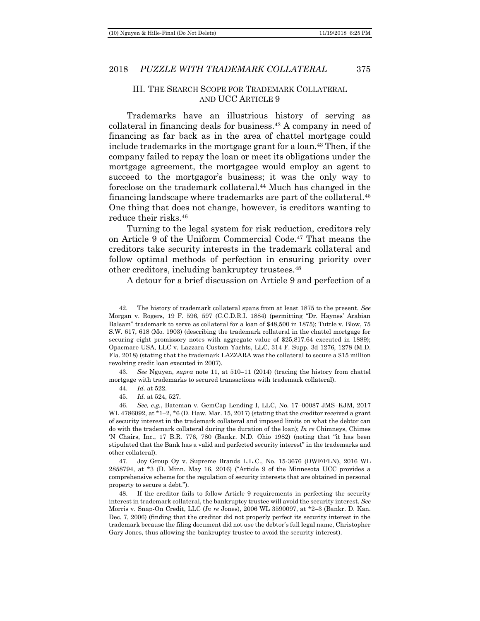### III. THE SEARCH SCOPE FOR TRADEMARK COLLATERAL AND UCC ARTICLE 9

Trademarks have an illustrious history of serving as collateral in financing deals for business.<sup>42</sup> A company in need of financing as far back as in the area of chattel mortgage could include trademarks in the mortgage grant for a loan.<sup>43</sup> Then, if the company failed to repay the loan or meet its obligations under the mortgage agreement, the mortgagee would employ an agent to succeed to the mortgagor's business; it was the only way to foreclose on the trademark collateral.<sup>44</sup> Much has changed in the financing landscape where trademarks are part of the collateral.<sup>45</sup> One thing that does not change, however, is creditors wanting to reduce their risks.<sup>46</sup>

Turning to the legal system for risk reduction, creditors rely on Article 9 of the Uniform Commercial Code.<sup>47</sup> That means the creditors take security interests in the trademark collateral and follow optimal methods of perfection in ensuring priority over other creditors, including bankruptcy trustees.<sup>48</sup>

A detour for a brief discussion on Article 9 and perfection of a

<sup>42.</sup> The history of trademark collateral spans from at least 1875 to the present. *See* Morgan v. Rogers, 19 F. 596, 597 (C.C.D.R.I. 1884) (permitting "Dr. Haynes' Arabian Balsam" trademark to serve as collateral for a loan of \$48,500 in 1875); Tuttle v. Blow, 75 S.W. 617, 618 (Mo. 1903) (describing the trademark collateral in the chattel mortgage for securing eight promissory notes with aggregate value of \$25,817.64 executed in 1889); Opacmare USA, LLC v. Lazzara Custom Yachts, LLC, 314 F. Supp. 3d 1276, 1278 (M.D. Fla. 2018) (stating that the trademark LAZZARA was the collateral to secure a \$15 million revolving credit loan executed in 2007).

<sup>43.</sup> *See* Nguyen, *supra* note [11,](#page-3-0) at 510–11 (2014) (tracing the history from chattel mortgage with trademarks to secured transactions with trademark collateral).

<sup>44.</sup> *Id.* at 522.

<sup>45.</sup> *Id.* at 524, 527.

<sup>46.</sup> *See, e.g.*, Bateman v. GemCap Lending I, LLC, No. 17–00087 JMS–KJM, 2017 WL 4786092, at \*1-2, \*6 (D. Haw. Mar. 15, 2017) (stating that the creditor received a grant of security interest in the trademark collateral and imposed limits on what the debtor can do with the trademark collateral during the duration of the loan); *In re* Chimneys, Chimes 'N Chairs, Inc., 17 B.R. 776, 780 (Bankr. N.D. Ohio 1982) (noting that "it has been stipulated that the Bank has a valid and perfected security interest" in the trademarks and other collateral).

<sup>47.</sup> Joy Group Oy v. Supreme Brands L.L.C., No. 15-3676 (DWF/FLN), 2016 WL 2858794, at \*3 (D. Minn. May 16, 2016) ("Article 9 of the Minnesota UCC provides a comprehensive scheme for the regulation of security interests that are obtained in personal property to secure a debt.").

<sup>48.</sup> If the creditor fails to follow Article 9 requirements in perfecting the security interest in trademark collateral, the bankruptcy trustee will avoid the security interest. *See* Morris v. Snap-On Credit, LLC (*In re* Jones), 2006 WL 3590097, at \*2–3 (Bankr. D. Kan. Dec. 7, 2006) (finding that the creditor did not properly perfect its security interest in the trademark because the filing document did not use the debtor's full legal name, Christopher Gary Jones, thus allowing the bankruptcy trustee to avoid the security interest).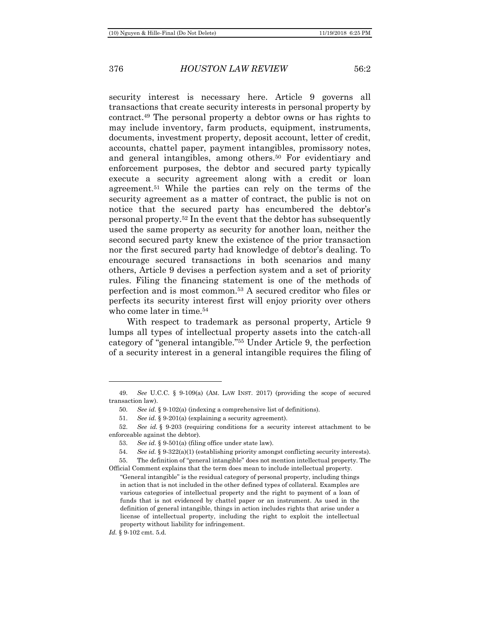security interest is necessary here. Article 9 governs all transactions that create security interests in personal property by contract.<sup>49</sup> The personal property a debtor owns or has rights to may include inventory, farm products, equipment, instruments, documents, investment property, deposit account, letter of credit, accounts, chattel paper, payment intangibles, promissory notes, and general intangibles, among others.<sup>50</sup> For evidentiary and enforcement purposes, the debtor and secured party typically execute a security agreement along with a credit or loan agreement.<sup>51</sup> While the parties can rely on the terms of the security agreement as a matter of contract, the public is not on notice that the secured party has encumbered the debtor's personal property.<sup>52</sup> In the event that the debtor has subsequently used the same property as security for another loan, neither the second secured party knew the existence of the prior transaction nor the first secured party had knowledge of debtor's dealing. To encourage secured transactions in both scenarios and many others, Article 9 devises a perfection system and a set of priority rules. Filing the financing statement is one of the methods of perfection and is most common.<sup>53</sup> A secured creditor who files or perfects its security interest first will enjoy priority over others who come later in time.<sup>54</sup>

With respect to trademark as personal property, Article 9 lumps all types of intellectual property assets into the catch-all category of "general intangible." <sup>55</sup> Under Article 9, the perfection of a security interest in a general intangible requires the filing of

<sup>49.</sup> *See* U.C.C. § 9-109(a) (AM. LAW INST. 2017) (providing the scope of secured transaction law).

<sup>50.</sup> *See id.* § 9-102(a) (indexing a comprehensive list of definitions).

<sup>51.</sup> *See id.* § 9-201(a) (explaining a security agreement).

<sup>52.</sup> *See id.* § 9-203 (requiring conditions for a security interest attachment to be enforceable against the debtor).

<sup>53.</sup> *See id.* § 9-501(a) (filing office under state law).

<sup>54.</sup> *See id.* § 9-322(a)(1) (establishing priority amongst conflicting security interests).

<sup>55.</sup> The definition of "general intangible" does not mention intellectual property. The Official Comment explains that the term does mean to include intellectual property.

<sup>&</sup>quot;General intangible" is the residual category of personal property, including things in action that is not included in the other defined types of collateral. Examples are various categories of intellectual property and the right to payment of a loan of funds that is not evidenced by chattel paper or an instrument. As used in the definition of general intangible, things in action includes rights that arise under a license of intellectual property, including the right to exploit the intellectual property without liability for infringement.

*Id.* § 9-102 cmt. 5.d.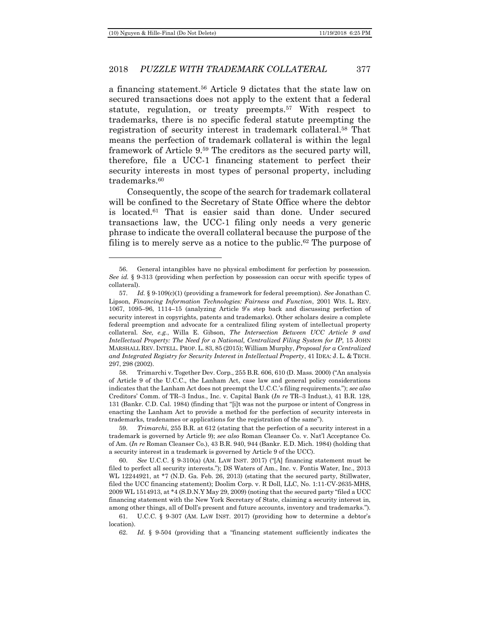### 2018 *PUZZLE WITH TRADEMARK COLLATERAL* 377

a financing statement.<sup>56</sup> Article 9 dictates that the state law on secured transactions does not apply to the extent that a federal statute, regulation, or treaty preempts.<sup>57</sup> With respect to trademarks, there is no specific federal statute preempting the registration of security interest in trademark collateral.<sup>58</sup> That means the perfection of trademark collateral is within the legal framework of Article 9.<sup>59</sup> The creditors as the secured party will, therefore, file a UCC-1 financing statement to perfect their security interests in most types of personal property, including trademarks.<sup>60</sup>

Consequently, the scope of the search for trademark collateral will be confined to the Secretary of State Office where the debtor is located.<sup>61</sup> That is easier said than done. Under secured transactions law, the UCC-1 filing only needs a very generic phrase to indicate the overall collateral because the purpose of the filing is to merely serve as a notice to the public.<sup>62</sup> The purpose of

<sup>56.</sup> General intangibles have no physical embodiment for perfection by possession. *See id.* § 9-313 (providing when perfection by possession can occur with specific types of collateral).

<sup>57.</sup> *Id.* § 9-109(c)(1) (providing a framework for federal preemption). *See* Jonathan C. Lipson, *Financing Information Technologies: Fairness and Function*, 2001 WIS. L. REV. 1067, 1095–96, 1114–15 (analyzing Article 9's step back and discussing perfection of security interest in copyrights, patents and trademarks). Other scholars desire a complete federal preemption and advocate for a centralized filing system of intellectual property collateral. *See, e.g.*, Willa E. Gibson, *The Intersection Between UCC Article 9 and Intellectual Property: The Need for a National, Centralized Filing System for IP*, 15 JOHN MARSHALL REV. INTELL. PROP. L. 83, 85 (2015); William Murphy, *Proposal for a Centralized and Integrated Registry for Security Interest in Intellectual Property*, 41 IDEA: J. L. & TECH. 297, 298 (2002).

<sup>58.</sup> Trimarchi v. Together Dev. Corp., 255 B.R. 606, 610 (D. Mass. 2000) ("An analysis of Article 9 of the U.C.C., the Lanham Act, case law and general policy considerations indicates that the Lanham Act does not preempt the U.C.C.'s filing requirements."); *see also* Creditors' Comm. of TR–3 Indus., Inc. v. Capital Bank (*In re* TR–3 Indust.), 41 B.R. 128, 131 (Bankr. C.D. Cal. 1984) (finding that "[i]t was not the purpose or intent of Congress in enacting the Lanham Act to provide a method for the perfection of security interests in trademarks, tradenames or applications for the registration of the same").

<sup>59.</sup> *Trimarchi*, 255 B.R. at 612 (stating that the perfection of a security interest in a trademark is governed by Article 9); *see also* Roman Cleanser Co. v. Nat'l Acceptance Co. of Am. (*In re* Roman Cleanser Co.), 43 B.R. 940, 944 (Bankr. E.D. Mich. 1984) (holding that a security interest in a trademark is governed by Article 9 of the UCC).

<sup>60.</sup> *See* U.C.C. § 9-310(a) (AM. LAW INST. 2017) ("[A] financing statement must be filed to perfect all security interests."); DS Waters of Am., Inc. v. Fontis Water, Inc., 2013 WL 12244921, at \*7 (N.D. Ga. Feb. 26, 2013) (stating that the secured party, Stillwater, filed the UCC financing statement); Doolim Corp. v. R Doll, LLC, No. 1:11-CV-2635-MHS, 2009 WL 1514913, at \*4 (S.D.N.Y May 29, 2009) (noting that the secured party "filed a UCC financing statement with the New York Secretary of State, claiming a security interest in, among other things, all of Doll's present and future accounts, inventory and trademarks.").

<sup>61.</sup> U.C.C. § 9-307 (AM. LAW INST. 2017) (providing how to determine a debtor's location).

<sup>62.</sup> *Id.* § 9-504 (providing that a "financing statement sufficiently indicates the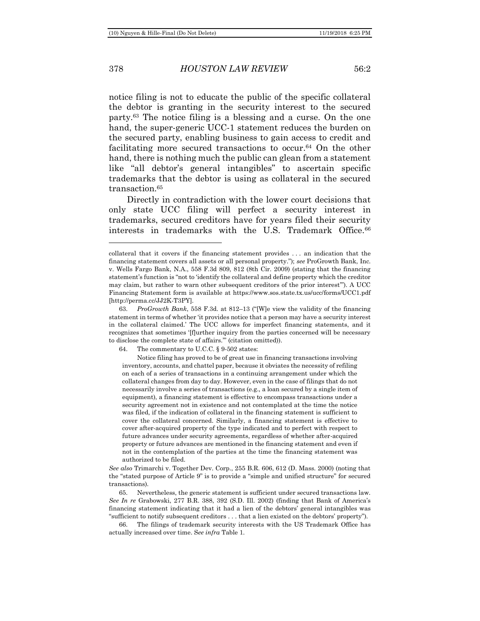378 *HOUSTON LAW REVIEW* 56:2

notice filing is not to educate the public of the specific collateral the debtor is granting in the security interest to the secured party.<sup>63</sup> The notice filing is a blessing and a curse. On the one hand, the super-generic UCC-1 statement reduces the burden on the secured party, enabling business to gain access to credit and facilitating more secured transactions to occur.<sup>64</sup> On the other hand, there is nothing much the public can glean from a statement like "all debtor's general intangibles" to ascertain specific trademarks that the debtor is using as collateral in the secured transaction.<sup>65</sup>

Directly in contradiction with the lower court decisions that only state UCC filing will perfect a security interest in trademarks, secured creditors have for years filed their security interests in trademarks with the U.S. Trademark Office.<sup>66</sup>

64. The commentary to U.C.C. § 9-502 states:

Notice filing has proved to be of great use in financing transactions involving inventory, accounts, and chattel paper, because it obviates the necessity of refiling on each of a series of transactions in a continuing arrangement under which the collateral changes from day to day. However, even in the case of filings that do not necessarily involve a series of transactions (e.g., a loan secured by a single item of equipment), a financing statement is effective to encompass transactions under a security agreement not in existence and not contemplated at the time the notice was filed, if the indication of collateral in the financing statement is sufficient to cover the collateral concerned. Similarly, a financing statement is effective to cover after-acquired property of the type indicated and to perfect with respect to future advances under security agreements, regardless of whether after-acquired property or future advances are mentioned in the financing statement and even if not in the contemplation of the parties at the time the financing statement was authorized to be filed.

*See also* Trimarchi v. Together Dev. Corp., 255 B.R. 606, 612 (D. Mass. 2000) (noting that the "stated purpose of Article 9" is to provide a "simple and unified structure" for secured transactions).

65. Nevertheless, the generic statement is sufficient under secured transactions law. *See In re* Grabowski, 277 B.R. 388, 392 (S.D. Ill. 2002) (finding that Bank of America's financing statement indicating that it had a lien of the debtors' general intangibles was "sufficient to notify subsequent creditors . . . that a lien existed on the debtors' property").

The filings of trademark security interests with the US Trademark Office has actually increased over time. S*ee infra* Table 1.

collateral that it covers if the financing statement provides . . . an indication that the financing statement covers all assets or all personal property."); *see* ProGrowth Bank, Inc. v. Wells Fargo Bank, N.A., 558 F.3d 809, 812 (8th Cir. 2009) (stating that the financing statement's function is "not to 'identify the collateral and define property which the creditor may claim, but rather to warn other subsequent creditors of the prior interest'"). A UCC Financing Statement form is available at https://www.sos.state.tx.us/ucc/forms/UCC1.pdf [http://perma.cc/JJ2K-T3PY].

<sup>63.</sup> *ProGrowth Bank*, 558 F.3d. at 812–13 ("[W]e view the validity of the financing statement in terms of whether 'it provides notice that a person may have a security interest in the collateral claimed.' The UCC allows for imperfect financing statements, and it recognizes that sometimes '[f]urther inquiry from the parties concerned will be necessary to disclose the complete state of affairs.'" (citation omitted)).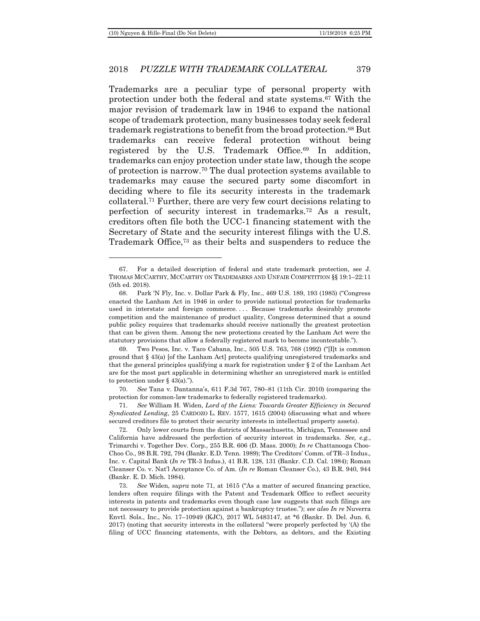### 2018 *PUZZLE WITH TRADEMARK COLLATERAL* 379

Trademarks are a peculiar type of personal property with protection under both the federal and state systems.<sup>67</sup> With the major revision of trademark law in 1946 to expand the national scope of trademark protection, many businesses today seek federal trademark registrations to benefit from the broad protection.<sup>68</sup> But trademarks can receive federal protection without being registered by the U.S. Trademark Office.<sup>69</sup> In addition, trademarks can enjoy protection under state law, though the scope of protection is narrow.<sup>70</sup> The dual protection systems available to trademarks may cause the secured party some discomfort in deciding where to file its security interests in the trademark collateral.<sup>71</sup> Further, there are very few court decisions relating to perfection of security interest in trademarks.<sup>72</sup> As a result, creditors often file both the UCC-1 financing statement with the Secretary of State and the security interest filings with the U.S. Trademark Office,<sup>73</sup> as their belts and suspenders to reduce the

<span id="page-14-0"></span><sup>67.</sup> For a detailed description of federal and state trademark protection, see J. THOMAS MCCARTHY, MCCARTHY ON TRADEMARKS AND UNFAIR COMPETITION §§ 19:1–22:11 (5th ed. 2018).

<sup>68.</sup> Park 'N Fly, Inc. v. Dollar Park & Fly, Inc., 469 U.S. 189, 193 (1985) ("Congress enacted the Lanham Act in 1946 in order to provide national protection for trademarks used in interstate and foreign commerce. . . . Because trademarks desirably promote competition and the maintenance of product quality, Congress determined that a sound public policy requires that trademarks should receive nationally the greatest protection that can be given them. Among the new protections created by the Lanham Act were the statutory provisions that allow a federally registered mark to become incontestable.").

<sup>69.</sup> Two Pesos, Inc. v. Taco Cabana, Inc., 505 U.S. 763, 768 (1992) ("[I]t is common ground that § 43(a) [of the Lanham Act] protects qualifying unregistered trademarks and that the general principles qualifying a mark for registration under  $\S 2$  of the Lanham Act are for the most part applicable in determining whether an unregistered mark is entitled to protection under  $\S$  43(a).").

<sup>70.</sup> *See* Tana v. Dantanna's, 611 F.3d 767, 780–81 (11th Cir. 2010) (comparing the protection for common-law trademarks to federally registered trademarks).

<sup>71.</sup> *See* William H. Widen, *Lord of the Liens: Towards Greater Efficiency in Secured Syndicated Lending*, 25 CARDOZO L. REV. 1577, 1615 (2004) (discussing what and where secured creditors file to protect their security interests in intellectual property assets).

<sup>72.</sup> Only lower courts from the districts of Massachusetts, Michigan, Tennessee and California have addressed the perfection of security interest in trademarks. *See, e.g.*, Trimarchi v. Together Dev. Corp., 255 B.R. 606 (D. Mass. 2000); *In re* Chattanooga Choo-Choo Co., 98 B.R. 792, 794 (Bankr. E.D. Tenn. 1989); The Creditors' Comm. of TR–3 Indus., Inc. v. Capital Bank (*In re* TR-3 Indus.), 41 B.R. 128, 131 (Bankr. C.D. Cal. 1984); Roman Cleanser Co. v. Nat'l Acceptance Co. of Am. (*In re* Roman Cleanser Co.), 43 B.R. 940, 944 (Bankr. E. D. Mich. 1984).

<sup>73.</sup> *See* Widen, s*upra* note [71](#page-14-0), at 1615 ("As a matter of secured financing practice, lenders often require filings with the Patent and Trademark Office to reflect security interests in patents and trademarks even though case law suggests that such filings are not necessary to provide protection against a bankruptcy trustee."); *see also In re* Nuverra Envtl. Sols., Inc., No. 17–10949 (KJC), 2017 WL 5483147, at \*6 (Bankr. D. Del. Jun. 6, 2017) (noting that security interests in the collateral "were properly perfected by '(A) the filing of UCC financing statements, with the Debtors, as debtors, and the Existing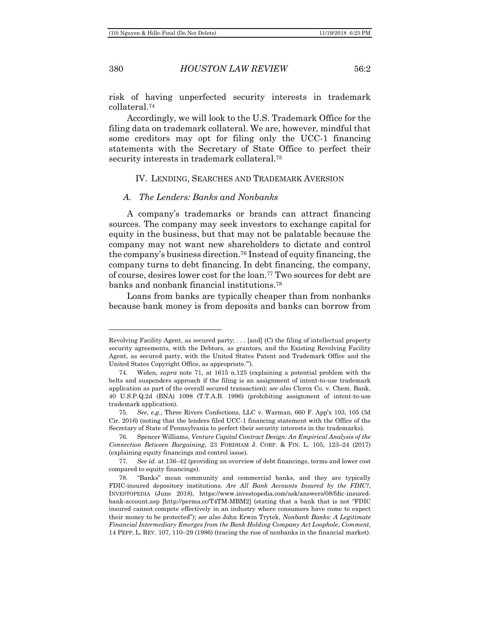380 *HOUSTON LAW REVIEW* 56:2

risk of having unperfected security interests in trademark collateral.<sup>74</sup>

Accordingly, we will look to the U.S. Trademark Office for the filing data on trademark collateral. We are, however, mindful that some creditors may opt for filing only the UCC-1 financing statements with the Secretary of State Office to perfect their security interests in trademark collateral.<sup>75</sup>

### <span id="page-15-0"></span>IV. LENDING, SEARCHES AND TRADEMARK AVERSION

### <span id="page-15-1"></span>*A. The Lenders: Banks and Nonbanks*

A company's trademarks or brands can attract financing sources. The company may seek investors to exchange capital for equity in the business, but that may not be palatable because the company may not want new shareholders to dictate and control the company's business direction.<sup>76</sup> Instead of equity financing, the company turns to debt financing. In debt financing, the company, of course, desires lower cost for the loan.<sup>77</sup> Two sources for debt are banks and nonbank financial institutions.<sup>78</sup>

Loans from banks are typically cheaper than from nonbanks because bank money is from deposits and banks can borrow from

Revolving Facility Agent, as secured party; . . . [and] (C) the filing of intellectual property security agreements, with the Debtors, as grantors, and the Existing Revolving Facility Agent, as secured party, with the United States Patent and Trademark Office and the United States Copyright Office, as appropriate.'").

<sup>74.</sup> Widen, *supra* note [71,](#page-14-0) at 1615 n.125 (explaining a potential problem with the belts and suspenders approach if the filing is an assignment of intent-to-use trademark application as part of the overall secured transaction); *see also* Clorox Co. v. Chem. Bank, 40 U.S.P.Q.2d (BNA) 1098 (T.T.A.B. 1996) (prohibiting assignment of intent-to-use trademark application).

<sup>75.</sup> *See, e.g.*, Three Rivers Confections, LLC v. Warman, 660 F. App'x 103, 105 (3d Cir. 2016) (noting that the lenders filed UCC-1 financing statement with the Office of the Secretary of State of Pennsylvania to perfect their security interests in the trademarks).

<sup>76.</sup> Spencer Williams, *Venture Capital Contract Design: An Empirical Analysis of the Connection Between Bargaining*, 23 FORDHAM J. CORP. & FIN. L. 105, 123–24 (2017) (explaining equity financings and control issue).

<sup>77.</sup> *See id.* at 136–42 (providing an overview of debt financings, terms and lower cost compared to equity financings).

<sup>78.</sup> "Banks" mean community and commercial banks, and they are typically FDIC-insured depository institutions. *Are All Bank Accounts Insured by the FDIC?*, INVESTOPEDIA (June 2018), https://www.investopedia.com/ask/answers/08/fdic-insuredbank-account.asp [http://perma.cc/T4TM-MBM2] (stating that a bank that is not "FDIC insured cannot compete effectively in an industry where consumers have come to expect their money to be protected"); *see also* John Erwin Trytek, *Nonbank Banks: A Legitimate Financial Intermediary Emerges from the Bank Holding Company Act Loophole*, *Comment*, 14 PEPP. L. REV. 107, 110–29 (1986) (tracing the rise of nonbanks in the financial market).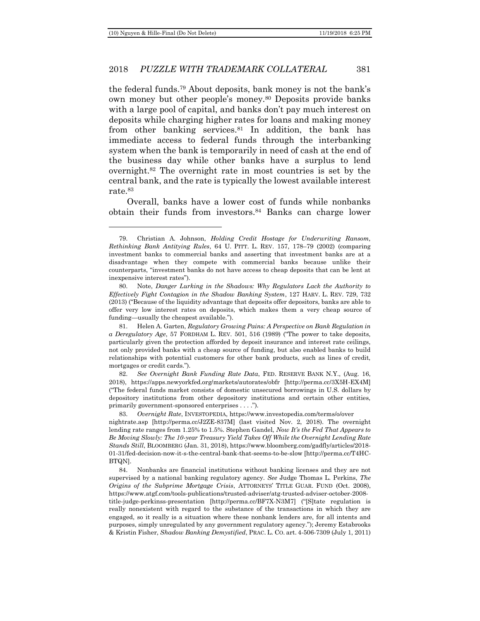### 2018 *PUZZLE WITH TRADEMARK COLLATERAL* 381

the federal funds.<sup>79</sup> About deposits, bank money is not the bank's own money but other people's money.<sup>80</sup> Deposits provide banks with a large pool of capital, and banks don't pay much interest on deposits while charging higher rates for loans and making money from other banking services.<sup>81</sup> In addition, the bank has immediate access to federal funds through the interbanking system when the bank is temporarily in need of cash at the end of the business day while other banks have a surplus to lend overnight.<sup>82</sup> The overnight rate in most countries is set by the central bank, and the rate is typically the lowest available interest rate.<sup>83</sup>

Overall, banks have a lower cost of funds while nonbanks obtain their funds from investors.<sup>84</sup> Banks can charge lower

83. *Overnight Rate*, INVESTOPEDIA, https://www.investopedia.com/terms/o/over

<sup>79.</sup> Christian A. Johnson, *Holding Credit Hostage for Underwriting Ransom, Rethinking Bank Antitying Rules*, 64 U. PITT. L. REV. 157, 178–79 (2002) (comparing investment banks to commercial banks and asserting that investment banks are at a disadvantage when they compete with commercial banks because unlike their counterparts, "investment banks do not have access to cheap deposits that can be lent at inexpensive interest rates").

<sup>80.</sup> Note, *Danger Lurking in the Shadows: Why Regulators Lack the Authority to Effectively Fight Contagion in the Shadow Banking System*, 127 HARV. L. REV. 729, 732 (2013) ("Because of the liquidity advantage that deposits offer depositors, banks are able to offer very low interest rates on deposits, which makes them a very cheap source of funding—usually the cheapest available.").

<sup>81.</sup> Helen A. Garten, *Regulatory Growing Pains: A Perspective on Bank Regulation in a Deregulatory Age*, 57 FORDHAM L. REV. 501, 516 (1989) ("The power to take deposits, particularly given the protection afforded by deposit insurance and interest rate ceilings, not only provided banks with a cheap source of funding, but also enabled banks to build relationships with potential customers for other bank products, such as lines of credit, mortgages or credit cards.").

<sup>82.</sup> *See Overnight Bank Funding Rate Data*, FED. RESERVE BANK N.Y., (Aug. 16, 2018), https://apps.newyorkfed.org/markets/autorates/obfr [http://perma.cc/3X5H-EX4M] ("The federal funds market consists of domestic unsecured borrowings in U.S. dollars by depository institutions from other depository institutions and certain other entities, primarily government-sponsored enterprises . . . .").

nightrate.asp [http://perma.cc/J2ZE-837M] (last visited Nov. 2, 2018). The overnight lending rate ranges from 1.25% to 1.5%. Stephen Gandel, *Now It's the Fed That Appears to Be Moving Slowly: The 10-year Treasury Yield Takes Off While the Overnight Lending Rate Stands Still*, BLOOMBERG (Jan. 31, 2018), https://www.bloomberg.com/gadfly/articles/2018- 01-31/fed-decision-now-it-s-the-central-bank-that-seems-to-be-slow [http://perma.cc/T4HC-BTQN].

<sup>84.</sup> Nonbanks are financial institutions without banking licenses and they are not supervised by a national banking regulatory agency. *See* Judge Thomas L. Perkins, *The Origins of the Subprime Mortgage Crisis*, ATTORNEYS' TITLE GUAR. FUND (Oct. 2008), https://www.atgf.com/tools-publications/trusted-adviser/atg-trusted-adviser-october-2008-

title-judge-perkinss-presentation [http://perma.cc/BF7X-N3M7] ("[S]tate regulation is really nonexistent with regard to the substance of the transactions in which they are engaged, so it really is a situation where these nonbank lenders are, for all intents and purposes, simply unregulated by any government regulatory agency."); Jeremy Estabrooks & Kristin Fisher, *Shadow Banking Demystified*, PRAC. L. CO. art. 4-506-7309 (July 1, 2011)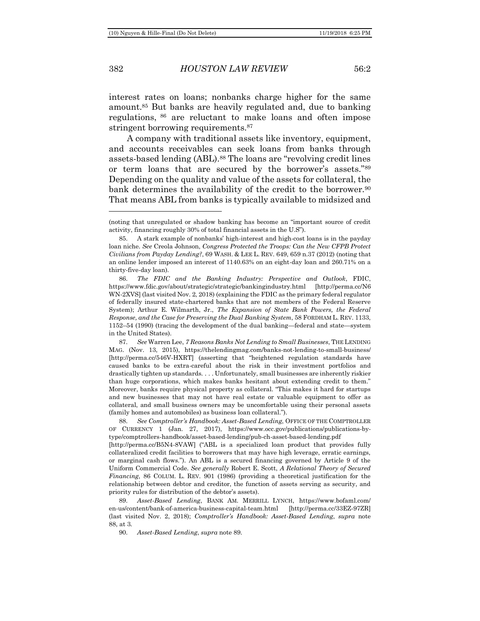382 *HOUSTON LAW REVIEW* 56:2

<span id="page-17-1"></span>

interest rates on loans; nonbanks charge higher for the same amount.<sup>85</sup> But banks are heavily regulated and, due to banking regulations, <sup>86</sup> are reluctant to make loans and often impose stringent borrowing requirements.<sup>87</sup>

<span id="page-17-0"></span>A company with traditional assets like inventory, equipment, and accounts receivables can seek loans from banks through assets-based lending (ABL).<sup>88</sup> The loans are "revolving credit lines or term loans that are secured by the borrower's assets."<sup>89</sup> Depending on the quality and value of the assets for collateral, the bank determines the availability of the credit to the borrower.<sup>90</sup> That means ABL from banks is typically available to midsized and

<sup>(</sup>noting that unregulated or shadow banking has become an "important source of credit activity, financing roughly 30% of total financial assets in the U.S").

<sup>85.</sup> A stark example of nonbanks' high-interest and high-cost loans is in the payday loan niche. *See* Creola Johnson, *Congress Protected the Troops: Can the New CFPB Protect Civilians from Payday Lending?*, 69 WASH. & LEE L. REV. 649, 659 n.37 (2012) (noting that an online lender imposed an interest of 1140.63% on an eight-day loan and 260.71% on a thirty-five-day loan).

<sup>86.</sup> *The FDIC and the Banking Industry: Perspective and Outlook*, FDIC, https://www.fdic.gov/about/strategic/strategic/bankingindustry.html [http://perma.cc/N6 WN-2XVS] (last visited Nov. 2, 2018) (explaining the FDIC as the primary federal regulator of federally insured state-chartered banks that are not members of the Federal Reserve System); Arthur E. Wilmarth, Jr., *The Expansion of State Bank Powers, the Federal Response, and the Case for Preserving the Dual Banking System*, 58 FORDHAM L. REV. 1133, 1152–54 (1990) (tracing the development of the dual banking—federal and state—system in the United States).

<sup>87.</sup> *See* Warren Lee, *7 Reasons Banks Not Lending to Small Businesses*, THE LENDING MAG. (Nov. 13, 2015), https://thelendingmag.com/banks-not-lending-to-small-business/ [http://perma.cc/546V-HXRT] (asserting that "heightened regulation standards have caused banks to be extra-careful about the risk in their investment portfolios and drastically tighten up standards. . . . Unfortunately, small businesses are inherently riskier than huge corporations, which makes banks hesitant about extending credit to them." Moreover, banks require physical property as collateral. "This makes it hard for startups and new businesses that may not have real estate or valuable equipment to offer as collateral, and small business owners may be uncomfortable using their personal assets (family homes and automobiles) as business loan collateral.").

<sup>88.</sup> *See Comptroller's Handbook: Asset-Based Lending*, OFFICE OF THE COMPTROLLER OF CURRENCY 1 (Jan. 27, 2017), https://www.occ.gov/publications/publications-bytype/comptrollers-handbook/asset-based-lending/pub-ch-asset-based-lending.pdf

<sup>[</sup>http://perma.cc/B5N4-8VAW] ("ABL is a specialized loan product that provides fully collateralized credit facilities to borrowers that may have high leverage, erratic earnings, or marginal cash flows."). An ABL is a secured financing governed by Article 9 of the Uniform Commercial Code. *See generally* Robert E. Scott, *A Relational Theory of Secured Financing*, 86 COLUM. L. REV. 901 (1986) (providing a theoretical justification for the relationship between debtor and creditor, the function of assets serving as security, and priority rules for distribution of the debtor's assets).

<sup>89.</sup> *Asset-Based Lending*, BANK AM. MERRILL LYNCH, https://www.bofaml.com/ en-us/content/bank-of-america-business-capital-team.html [http://perma.cc/33EZ-97ZR] (last visited Nov. 2, 2018); *Comptroller's Handbook: Asset-Based Lending*, *supra* note [88,](#page-17-0) at 3.

<sup>90.</sup> *Asset-Based Lending*, *supra* note [89.](#page-17-1)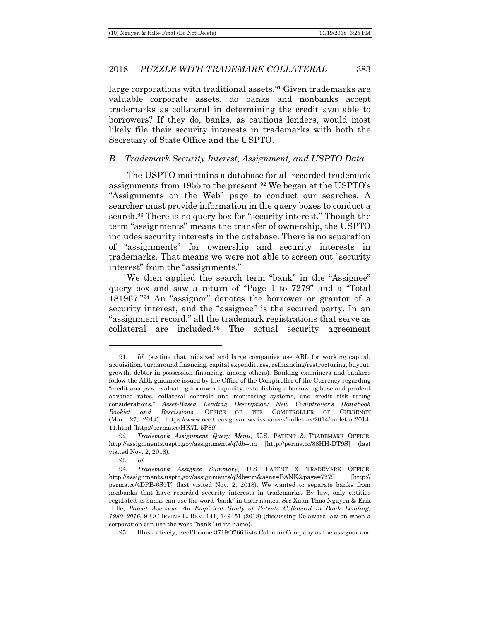large corporations with traditional assets.<sup>91</sup> Given trademarks are valuable corporate assets, do banks and nonbanks accept trademarks as collateral in determining the credit available to borrowers? If they do, banks, as cautious lenders, would most likely file their security interests in trademarks with both the Secretary of State Office and the USPTO.

### <span id="page-18-0"></span>*B. Trademark Security Interest, Assignment, and USPTO Data*

The USPTO maintains a database for all recorded trademark assignments from 1955 to the present.<sup>92</sup> We began at the USPTO's "Assignments on the Web" page to conduct our searches. A searcher must provide information in the query boxes to conduct a search.<sup>93</sup> There is no query box for "security interest." Though the term "assignments" means the transfer of ownership, the USPTO includes security interests in the database. There is no separation of "assignments" for ownership and security interests in trademarks. That means we were not able to screen out "security interest" from the "assignments."

<span id="page-18-1"></span>We then applied the search term "bank" in the "Assignee" query box and saw a return of "Page 1 to 7279" and a "Total 181967."<sup>94</sup> An "assignor" denotes the borrower or grantor of a security interest, and the "assignee" is the secured party. In an "assignment record," all the trademark registrations that serve as collateral are included.<sup>95</sup> The actual security agreement

93. *Id.*

<sup>91.</sup> *Id.* (stating that midsized and large companies use ABL for working capital, acquisition, turnaround financing, capital expenditures, refinancing/restructuring, buyout, growth, debtor-in-possession financing, among others). Banking examiners and bankers follow the ABL guidance issued by the Office of the Comptroller of the Currency regarding "credit analysis, evaluating borrower liquidity, establishing a borrowing base and prudent advance rates, collateral controls and monitoring systems, and credit risk rating considerations." *Asset-Based Lending Description: New Comptroller's Handbook Booklet and Rescissions*, OFFICE OF THE COMPTROLLER OF CURRENCY (Mar. 27, 2014), https://www.occ.treas.gov/news-issuances/bulletins/2014/bulletin-2014- 11.html [http://perma.cc/HK7L-5P89].

<sup>92.</sup> *Trademark Assignment Query Menu*, U.S. PATENT & TRADEMARK OFFICE, http://assignments.uspto.gov/assignments/q?db=tm [http://perma.cc/88HH-DT9S] (last visited Nov. 2, 2018).

<sup>94.</sup> *Trademark Assignee Summary*, U.S. PATENT & TRADEMARK OFFICE, http://assignments.uspto.gov/assignments/q?db=tm&asne=BANK&page=7279 [http:// perma.cc/4DPB-6S5T] (last visited Nov. 2, 2018). We wanted to separate banks from nonbanks that have recorded security interests in trademarks. By law, only entities regulated as banks can use the word "bank" in their names. *See* Xuan-Thao Nguyen & Erik Hille, *Patent Aversion: An Empirical Study of Patents Collateral in Bank Lending, 1980–2016*, 9 UC IRVINE L. REV. 141, 149–51 (2018) (discussing Delaware law on when a corporation can use the word "bank" in its name).

<sup>95.</sup> Illustratively, Reel/Frame 3719/0766 lists Coleman Company as the assignor and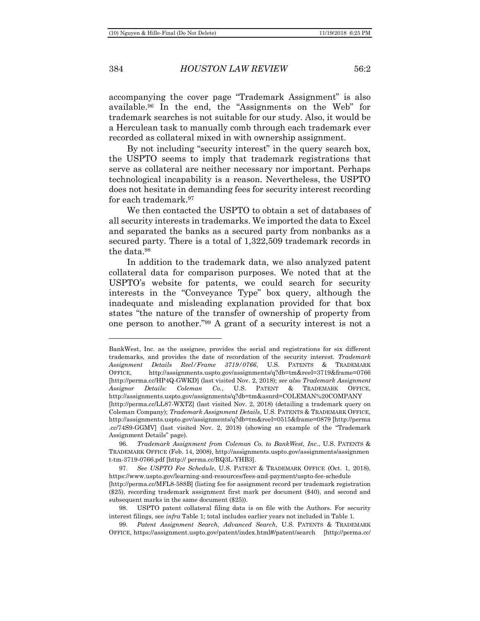384 *HOUSTON LAW REVIEW* 56:2

accompanying the cover page "Trademark Assignment" is also available.<sup>96</sup> In the end, the "Assignments on the Web" for trademark searches is not suitable for our study. Also, it would be a Herculean task to manually comb through each trademark ever recorded as collateral mixed in with ownership assignment.

By not including "security interest" in the query search box, the USPTO seems to imply that trademark registrations that serve as collateral are neither necessary nor important. Perhaps technological incapability is a reason. Nevertheless, the USPTO does not hesitate in demanding fees for security interest recording for each trademark.<sup>97</sup>

We then contacted the USPTO to obtain a set of databases of all security interests in trademarks. We imported the data to Excel and separated the banks as a secured party from nonbanks as a secured party. There is a total of 1,322,509 trademark records in the data.<sup>98</sup>

In addition to the trademark data, we also analyzed patent collateral data for comparison purposes. We noted that at the USPTO's website for patents, we could search for security interests in the "Conveyance Type" box query, although the inadequate and misleading explanation provided for that box states "the nature of the transfer of ownership of property from one person to another." <sup>99</sup> A grant of a security interest is not a

BankWest, Inc. as the assignee, provides the serial and registrations for six different trademarks, and provides the date of recordation of the security interest. *Trademark Assignment Details Reel/Frame 3719/0766*, U.S. PATENTS & TRADEMARK OFFICE, http://assignments.uspto.gov/assignments/q?db=tm&reel=3719&frame=0766 [http://perma.cc/HP4Q-GWKD] (last visited Nov. 2, 2018); *see also Trademark Assignment Assignor Details: Coleman Co.*, U.S. PATENT & TRADEMARK OFFICE, http://assignments.uspto.gov/assignments/q?db=tm&asnrd=COLEMAN%20COMPANY [http://perma.cc/LL87-WXTZ] (last visited Nov. 2, 2018) (detailing a trademark query on Coleman Company); *Trademark Assignment Details*, U.S. PATENTS & TRADEMARK OFFICE, http://assignments.uspto.gov/assignments/q?db=tm&reel=0515&frame=0879 [http://perma .cc/74S9-GGMV] (last visited Nov. 2, 2018) (showing an example of the "Trademark Assignment Details" page).

<sup>96.</sup> *Trademark Assignment from Coleman Co. to BankWest, Inc*., U.S. PATENTS & TRADEMARK OFFICE (Feb. 14, 2008), http://assignments.uspto.gov/assignments/assignmen t-tm-3719-0766.pdf [http:// perma.cc/RQ3L-YHB3].

<sup>97.</sup> *See USPTO Fee Schedule*, U.S. PATENT & TRADEMARK OFFICE (Oct. 1, 2018), https://www.uspto.gov/learning-and-resources/fees-and-payment/uspto-fee-schedule

<sup>[</sup>http://perma.cc/MFL8-588B] (listing fee for assignment record per trademark registration (\$25), recording trademark assignment first mark per document (\$40), and second and subsequent marks in the same document (\$25)).

<sup>98.</sup> USPTO patent collateral filing data is on file with the Authors. For security interest filings, see *infra* Table 1; total includes earlier years not included in Table 1.

<sup>99.</sup> *Patent Assignment Search, Advanced Search*, U.S. PATENTS & TRADEMARK OFFICE, https://assignment.uspto.gov/patent/index.html#/patent/search [http://perma.cc/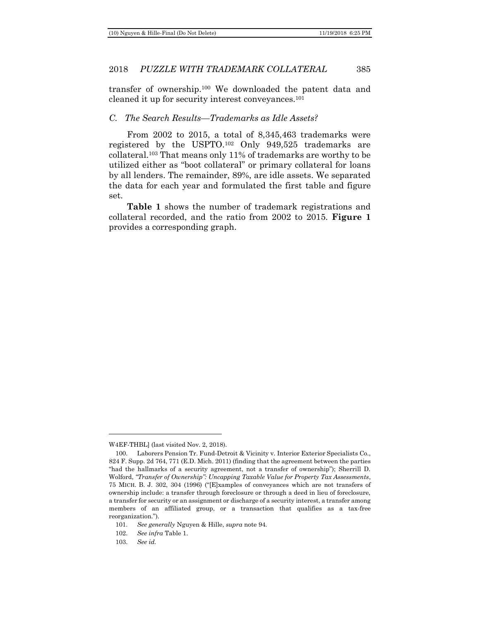transfer of ownership.<sup>100</sup> We downloaded the patent data and cleaned it up for security interest conveyances. 101

### <span id="page-20-0"></span>*C. The Search Results—Trademarks as Idle Assets?*

From 2002 to 2015, a total of 8,345,463 trademarks were registered by the USPTO.<sup>102</sup> Only 949,525 trademarks are collateral.<sup>103</sup> That means only 11% of trademarks are worthy to be utilized either as "boot collateral" or primary collateral for loans by all lenders. The remainder, 89%, are idle assets. We separated the data for each year and formulated the first table and figure set.

**Table 1** shows the number of trademark registrations and collateral recorded, and the ratio from 2002 to 2015. **Figure 1** provides a corresponding graph.

W4EF-THBL] (last visited Nov. 2, 2018).

<sup>100.</sup> Laborers Pension Tr. Fund-Detroit & Vicinity v. Interior Exterior Specialists Co., 824 F. Supp. 2d 764, 771 (E.D. Mich. 2011) (finding that the agreement between the parties "had the hallmarks of a security agreement, not a transfer of ownership"); Sherrill D. Wolford, *"Transfer of Ownership": Uncapping Taxable Value for Property Tax Assessments*, 75 MICH. B. J. 302, 304 (1996) ("[E]xamples of conveyances which are not transfers of ownership include: a transfer through foreclosure or through a deed in lieu of foreclosure, a transfer for security or an assignment or discharge of a security interest, a transfer among members of an affiliated group, or a transaction that qualifies as a tax-free reorganization.").

<sup>101.</sup> *See generally* Nguyen & Hille, *supra* note [94.](#page-18-1)

<sup>102.</sup> *See infra* Table 1.

<sup>103.</sup> *See id.*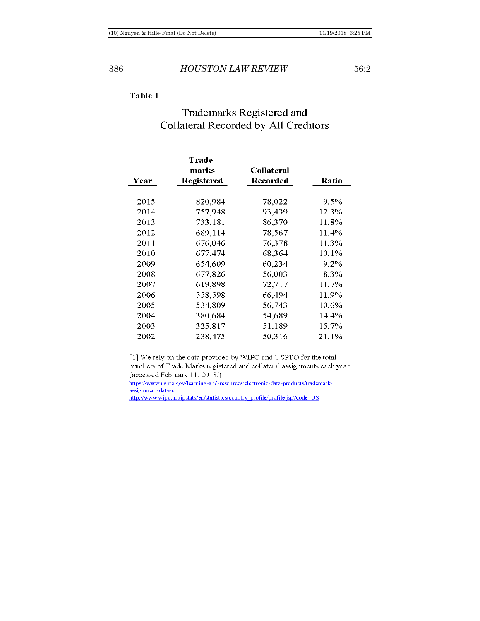### Table 1

## **Trademarks Registered and Collateral Recorded by All Creditors**

| Year | Trade-<br>marks<br><b>Registered</b> | <b>Collateral</b><br>Recorded | <b>Ratio</b> |
|------|--------------------------------------|-------------------------------|--------------|
| 2015 | 820,984                              | 78,022                        | $9.5\%$      |
| 2014 | 757,948                              | 93,439                        | 12.3%        |
| 2013 | 733,181                              | 86,370                        | 11.8%        |
| 2012 | 689,114                              | 78,567                        | 11.4%        |
| 2011 | 676,046                              | 76,378                        | 11.3%        |
| 2010 | 677,474                              | 68,364                        | 10.1%        |
| 2009 | 654,609                              | 60,234                        | $9.2\%$      |
| 2008 | 677,826                              | 56,003                        | 8.3%         |
| 2007 | 619,898                              | 72,717                        | 11.7%        |
| 2006 | 558,598                              | 66,494                        | 11.9%        |
| 2005 | 534,809                              | 56,743                        | 10.6%        |
| 2004 | 380,684                              | 54,689                        | 14.4%        |
| 2003 | 325,817                              | 51,189                        | 15.7%        |
| 2002 | 238.475                              | 50,316                        | 21.1%        |

[1] We rely on the data provided by WIPO and USPTO for the total numbers of Trade Marks registered and collateral assignments each year (accessed February 11, 2018.)

https://www.uspto.gov/learning-and-resources/electronic-data-products/trademarkassignment-dataset

http://www.wipo.int/ipstats/en/statistics/country\_profile/profile.jsp?code=US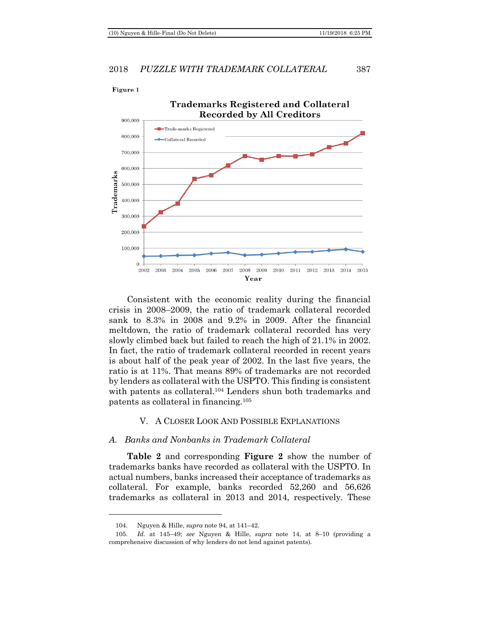

Consistent with the economic reality during the financial crisis in 2008–2009, the ratio of trademark collateral recorded sank to 8.3% in 2008 and 9.2% in 2009. After the financial meltdown, the ratio of trademark collateral recorded has very slowly climbed back but failed to reach the high of 21.1% in 2002. In fact, the ratio of trademark collateral recorded in recent years is about half of the peak year of 2002. In the last five years, the ratio is at 11%. That means 89% of trademarks are not recorded by lenders as collateral with the USPTO. This finding is consistent with patents as collateral.<sup>104</sup> Lenders shun both trademarks and patents as collateral in financing.<sup>105</sup>

### V. A CLOSER LOOK AND POSSIBLE EXPLANATIONS

### <span id="page-22-1"></span><span id="page-22-0"></span>*A. Banks and Nonbanks in Trademark Collateral*

**Table 2** and corresponding **Figure 2** show the number of trademarks banks have recorded as collateral with the USPTO. In actual numbers, banks increased their acceptance of trademarks as collateral. For example, banks recorded 52,260 and 56,626 trademarks as collateral in 2013 and 2014, respectively. These

<sup>104.</sup> Nguyen & Hille, *supra* note [94,](#page-18-1) at 141–42.

<sup>105.</sup> *Id.* at 145–49; *see* Nguyen & Hille, *supra* note [14,](#page-3-1) at 8–10 (providing a comprehensive discussion of why lenders do not lend against patents).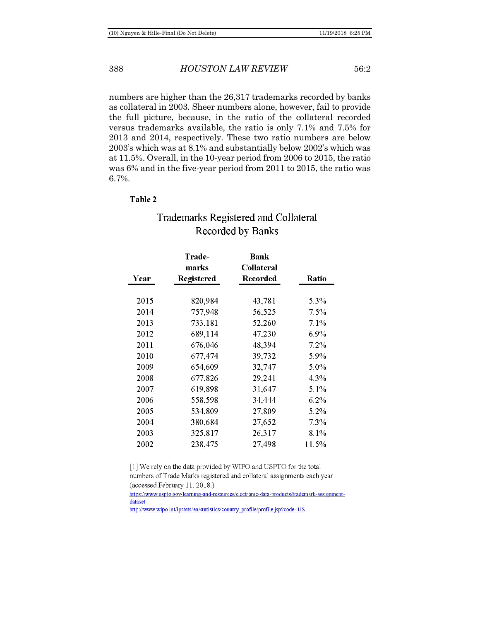numbers are higher than the 26,317 trademarks recorded by banks as collateral in 2003. Sheer numbers alone, however, fail to provide the full picture, because, in the ratio of the collateral recorded versus trademarks available, the ratio is only 7.1% and 7.5% for 2013 and 2014, respectively. These two ratio numbers are below 2003's which was at 8.1% and substantially below 2002's which was at 11.5%. Overall, in the 10-year period from 2006 to 2015, the ratio was 6% and in the five-year period from 2011 to 2015, the ratio was 6.7%.

### **Table 2**

## **Trademarks Registered and Collateral Recorded by Banks**

|      | <b>Trade-</b> | Bank              |         |
|------|---------------|-------------------|---------|
|      | marks         | <b>Collateral</b> |         |
| Year | Registered    | Recorded          | Ratio   |
|      |               |                   |         |
| 2015 | 820,984       | 43,781            | 5.3%    |
| 2014 | 757,948       | 56,525            | $7.5\%$ |
| 2013 | 733,181       | 52,260            | $7.1\%$ |
| 2012 | 689,114       | 47,230            | $6.9\%$ |
| 2011 | 676,046       | 48,394            | $7.2\%$ |
| 2010 | 677,474       | 39,732            | 5.9%    |
| 2009 | 654,609       | 32,747            | 5.0%    |
| 2008 | 677,826       | 29,241            | 4.3%    |
| 2007 | 619,898       | 31,647            | 5.1%    |
| 2006 | 558,598       | 34,444            | $6.2\%$ |
| 2005 | 534,809       | 27,809            | 5.2%    |
| 2004 | 380,684       | 27,652            | 7.3%    |
| 2003 | 325,817       | 26,317            | $8.1\%$ |
| 2002 | 238,475       | 27,498            | 11.5%   |

[1] We rely on the data provided by WIPO and USPTO for the total numbers of Trade Marks registered and collateral assignments each year (accessed February 11, 2018.)

https://www.uspto.gov/learning-and-resources/electronic-data-products/trademark-assignmentdataset

http://www.wipo.int/ipstats/en/statistics/country\_profile/profile.jsp?code=US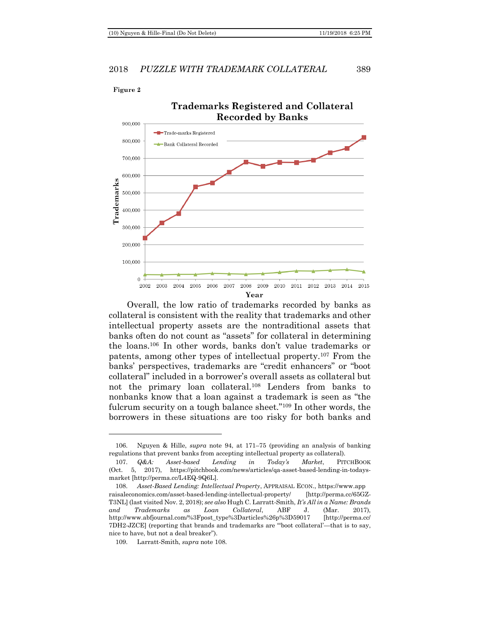Figure 2

### 2018 *PUZZLE WITH TRADEMARK COLLATERAL* 389



Overall, the low ratio of trademarks recorded by banks as collateral is consistent with the reality that trademarks and other intellectual property assets are the nontraditional assets that banks often do not count as "assets" for collateral in determining the loans.<sup>106</sup> In other words, banks don't value trademarks or patents, among other types of intellectual property.<sup>107</sup> From the banks' perspectives, trademarks are "credit enhancers" or "boot collateral" included in a borrower's overall assets as collateral but not the primary loan collateral.<sup>108</sup> Lenders from banks to nonbanks know that a loan against a trademark is seen as "the fulcrum security on a tough balance sheet."<sup>109</sup> In other words, the borrowers in these situations are too risky for both banks and

<span id="page-24-0"></span><sup>106.</sup> Nguyen & Hille, *supra* note [94,](#page-18-1) at 171–75 (providing an analysis of banking regulations that prevent banks from accepting intellectual property as collateral).

<sup>107.</sup> *Q&A: Asset-based Lending in Today's Market*, PITCHBOOK (Oct. 5, 2017), https://pitchbook.com/news/articles/qa-asset-based-lending-in-todaysmarket [http://perma.cc/L4EQ-9Q6L].

<sup>108.</sup> *Asset-Based Lending: Intellectual Property*, APPRAISAL ECON., https://www.app raisaleconomics.com/asset-based-lending-intellectual-property/ [http://perma.cc/65GZ-T3NL] (last visited Nov. 2, 2018); *see also* Hugh C. Larratt-Smith, *It's All in a Name: Brands and Trademarks as Loan Collateral*, ABF J. (Mar. 2017), http://www.abfjournal.com/%3Fpost\_type%3Darticles%26p%3D59017 [http://perma.cc/ 7DH2-JZCE] (reporting that brands and trademarks are "'boot collateral'—that is to say, nice to have, but not a deal breaker").

<sup>109.</sup> Larratt-Smith, *supra* note [108.](#page-24-0)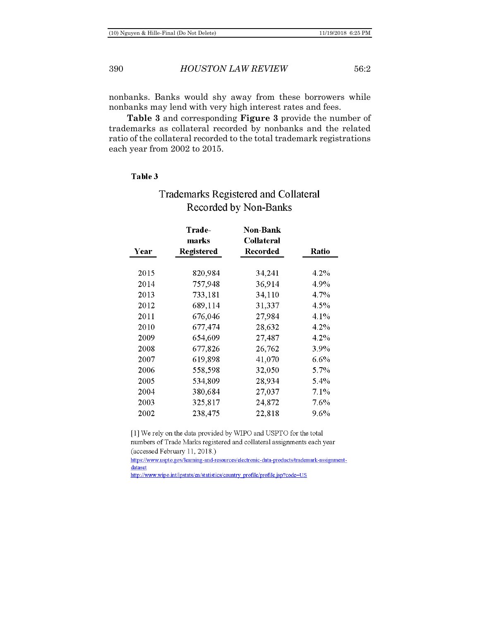nonbanks. Banks would shy away from these borrowers while nonbanks may lend with very high interest rates and fees.

**Table 3** and corresponding **Figure 3** provide the number of trademarks as collateral recorded by nonbanks and the related ratio of the collateral recorded to the total trademark registrations each year from 2002 to 2015.

### Table 3

| Year | Trade-<br>marks<br>Registered | Non-Bank<br><b>Collateral</b><br>Recorded | Ratio   |
|------|-------------------------------|-------------------------------------------|---------|
| 2015 | 820,984                       | 34,241                                    | 4.2%    |
| 2014 | 757,948                       | 36,914                                    | 4.9%    |
| 2013 | 733,181                       | 34,110                                    | 4.7%    |
| 2012 | 689,114                       | 31,337                                    | 4.5%    |
| 2011 | 676,046                       | 27,984                                    | 4.1%    |
| 2010 | 677,474                       | 28,632                                    | $4.2\%$ |
| 2009 | 654,609                       | 27,487                                    | $4.2\%$ |
| 2008 | 677,826                       | 26,762                                    | 3.9%    |
| 2007 | 619,898                       | 41,070                                    | $6.6\%$ |
| 2006 | 558,598                       | 32,050                                    | 5.7%    |
| 2005 | 534,809                       | 28,934                                    | 5.4%    |
| 2004 | 380,684                       | 27,037                                    | 7.1%    |
| 2003 | 325,817                       | 24,872                                    | 7.6%    |
| 2002 | 238,475                       | 22,818                                    | 9.6%    |

## **Trademarks Registered and Collateral** Recorded by Non-Banks

[1] We rely on the data provided by WIPO and USPTO for the total numbers of Trade Marks registered and collateral assignments each year (accessed February 11, 2018.)

https://www.uspto.gov/learning-and-resources/electronic-data-products/trademark-assignmentdataset

http://www.wipo.int/ipstats/en/statistics/country\_profile/profile.jsp?code=US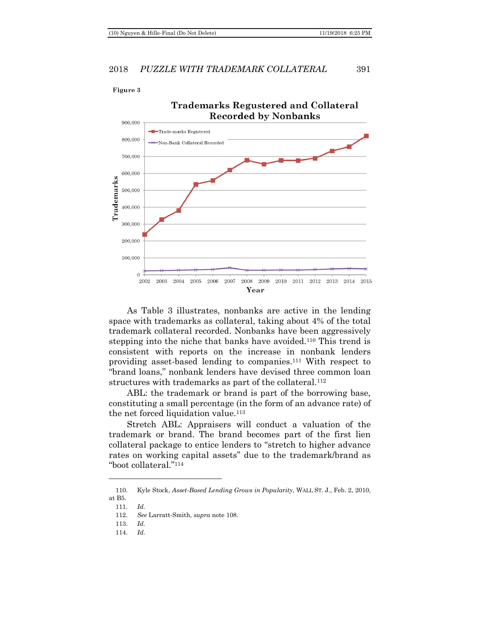Figure 3

### 2018 *PUZZLE WITH TRADEMARK COLLATERAL* 391



<span id="page-26-0"></span>As Table 3 illustrates, nonbanks are active in the lending space with trademarks as collateral, taking about 4% of the total trademark collateral recorded. Nonbanks have been aggressively stepping into the niche that banks have avoided.<sup>110</sup> This trend is consistent with reports on the increase in nonbank lenders providing asset-based lending to companies.<sup>111</sup> With respect to "brand loans," nonbank lenders have devised three common loan structures with trademarks as part of the collateral.<sup>112</sup>

ABL: the trademark or brand is part of the borrowing base, constituting a small percentage (in the form of an advance rate) of the net forced liquidation value.<sup>113</sup>

Stretch ABL: Appraisers will conduct a valuation of the trademark or brand. The brand becomes part of the first lien collateral package to entice lenders to "stretch to higher advance rates on working capital assets" due to the trademark/brand as "boot collateral."<sup>114</sup>

<sup>110.</sup> Kyle Stock, *Asset-Based Lending Grows in Popularity*, WALL ST. J., Feb. 2, 2010, at B5.

<sup>111.</sup> *Id.* 

<sup>112.</sup> *See* Larratt-Smith, *supra* not[e 108.](#page-24-0)

<sup>113.</sup> *Id.*

<sup>114.</sup> *Id.*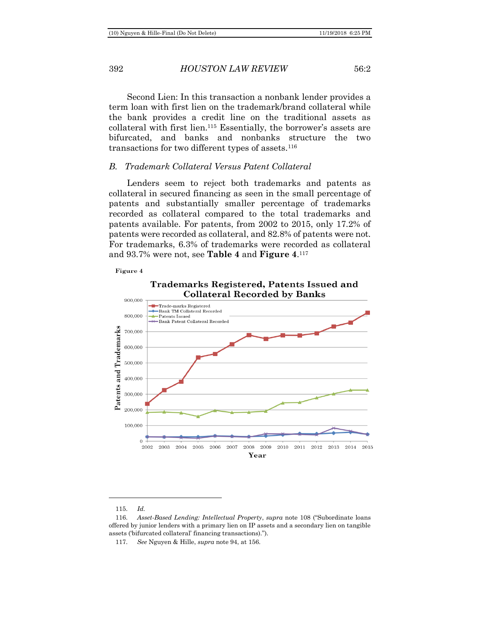Second Lien: In this transaction a nonbank lender provides a term loan with first lien on the trademark/brand collateral while the bank provides a credit line on the traditional assets as collateral with first lien.<sup>115</sup> Essentially, the borrower's assets are bifurcated, and banks and nonbanks structure the two transactions for two different types of assets.<sup>116</sup>

### <span id="page-27-0"></span>*B. Trademark Collateral Versus Patent Collateral*

Lenders seem to reject both trademarks and patents as collateral in secured financing as seen in the small percentage of patents and substantially smaller percentage of trademarks recorded as collateral compared to the total trademarks and patents available. For patents, from 2002 to 2015, only 17.2% of patents were recorded as collateral, and 82.8% of patents were not. For trademarks, 6.3% of trademarks were recorded as collateral and 93.7% were not, see **Table 4** and **Figure 4**. 117

### Figure 4

### Trademarks Registered, Patents Issued and **Collateral Recorded by Banks**



<sup>115.</sup> *Id.*

<sup>116.</sup> *Asset-Based Lending: Intellectual Property*, *supra* note [108](#page-24-0) ("Subordinate loans offered by junior lenders with a primary lien on IP assets and a secondary lien on tangible assets ('bifurcated collateral' financing transactions).").

<sup>117.</sup> *See* Nguyen & Hille, *supra* note [94,](#page-18-1) at 156.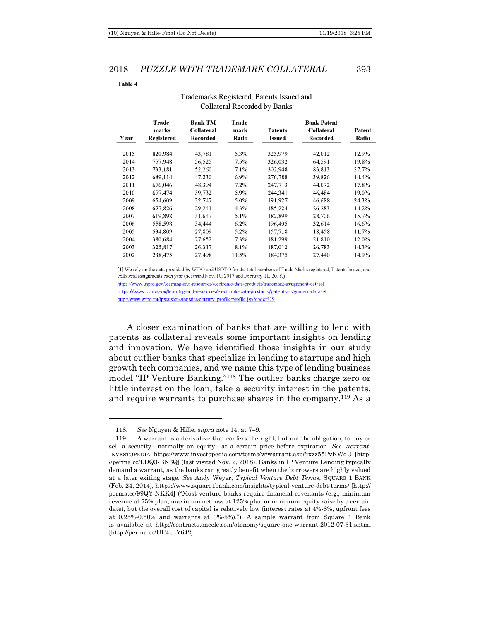| Fable 4 |  |  |  |
|---------|--|--|--|

| Year | Trade-<br>marks<br>Registered | <b>Bank TM</b><br><b>Collateral</b><br>Recorded | <b>Trade-</b><br>mark<br>Ratio | Patents<br><b>Issued</b> | <b>Bank Patent</b><br><b>Collateral</b><br>Recorded | Patent<br>Ratio |
|------|-------------------------------|-------------------------------------------------|--------------------------------|--------------------------|-----------------------------------------------------|-----------------|
| 2015 | 820,984                       | 43,781                                          | 5.3%                           | 325,979                  | 42,012                                              | 12.9%           |
| 2014 | 757,948                       | 56,525                                          | $7.5\%$                        | 326,032                  | 64.591                                              | 19.8%           |
| 2013 | 733.181                       | 52,260                                          | 7.1%                           | 302,948                  | 83.813                                              | 27.7%           |
| 2012 | 689,114                       | 47,230                                          | $6.9\%$                        | 276,788                  | 39.826                                              | 14.4%           |
| 2011 | 676,046                       | 48,394                                          | $7.2\%$                        | 247.713                  | 44,072                                              | 17.8%           |
| 2010 | 677,474                       | 39,732                                          | 5.9%                           | 244.341                  | 46,484                                              | 19.0%           |
| 2009 | 654,609                       | 32,747                                          | 5.0%                           | 191,927                  | 46,688                                              | 24.3%           |
| 2008 | 677,826                       | 29,241                                          | 4.3%                           | 185.224                  | 26,283                                              | 14.2%           |
| 2007 | 619,898                       | 31,647                                          | 5.1%                           | 182,899                  | 28,706                                              | 15.7%           |
| 2006 | 558,598                       | 34,444                                          | $6.2\%$                        | 196,405                  | 32,614                                              | 16.6%           |
| 2005 | 534.809                       | 27,809                                          | $5.2\%$                        | 157,718                  | 18,458                                              | 11.7%           |
| 2004 | 380.684                       | 27,652                                          | 7.3%                           | 181.299                  | 21.810                                              | 12.0%           |
| 2003 | 325,817                       | 26,317                                          | $8.1\%$                        | 187,012                  | 26,783                                              | 14.3%           |
| 2002 | 238,475                       | 27,498                                          | 11.5%                          | 184,375                  | 27.440                                              | 14.9%           |

### Trademarks Registered, Patents Issued and **Collateral Recorded by Banks**

[1] We rely on the data provided by WIPO and USPTO for the total numbers of Trade Marks registered, Patents Issued, and collateral assignments each year (accessed Nov. 10, 2017 and February 11, 2018.)

https://www.uspto.gov/learning-and-resources/electronic-data-products/trademark-assignment-dataset https://www.uspto.gov/learning-and-resources/electronic-data-products/patent-assignment-dataset http://www.wipo.int/ipstats/en/statistics/country\_profile/profile.jsp?code=US

A closer examination of banks that are willing to lend with patents as collateral reveals some important insights on lending and innovation. We have identified those insights in our study about outlier banks that specialize in lending to startups and high growth tech companies, and we name this type of lending business model "IP Venture Banking."<sup>118</sup> The outlier banks charge zero or little interest on the loan, take a security interest in the patents, and require warrants to purchase shares in the company.<sup>119</sup> As a

<sup>118.</sup> *See* Nguyen & Hille, *supra* note [14,](#page-3-1) at 7–9.

<sup>119.</sup> A warrant is a derivative that confers the right, but not the obligation, to buy or sell a security—normally an equity—at a certain price before expiration. *See Warrant*, INVESTOPEDIA, https://www.investopedia.com/terms/w/warrant.asp#ixzz55PvKWdU [http: //perma.cc/LDQ3-BN6Q] (last visited Nov. 2, 2018). Banks in IP Venture Lending typically demand a warrant, as the banks can greatly benefit when the borrowers are highly valued at a later exiting stage. *See* Andy Weyer, *Typical Venture Debt Terms*, SQUARE 1 BANK (Feb. 24, 2014), https://www.square1bank.com/insights/typical-venture-debt-terms/ [http:// perma.cc/99QY-NKK4] ("Most venture banks require financial covenants (e.g., minimum revenue at 75% plan, maximum net loss at 125% plan or minimum equity raise by a certain date), but the overall cost of capital is relatively low (interest rates at 4%-8%, upfront fees at 0.25%-0.50% and warrants at 3%-5%)."). A sample warrant from Square 1 Bank is available at http://contracts.onecle.com/otonomy/square-one-warrant-2012-07-31.shtml [http://perma.cc/UF4U-Y642].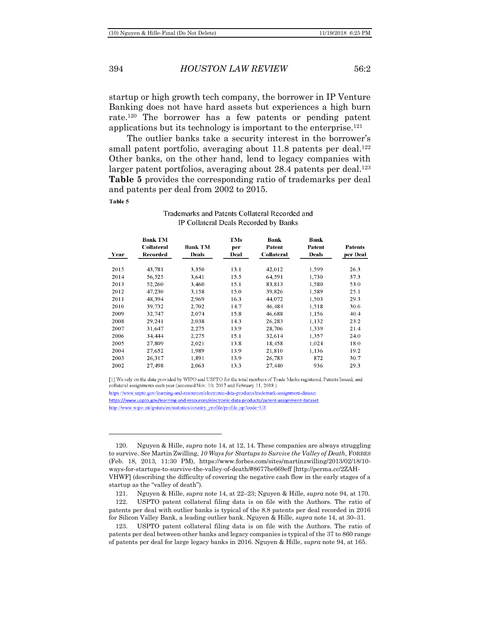### 394 *HOUSTON LAW REVIEW* 56:2

startup or high growth tech company, the borrower in IP Venture Banking does not have hard assets but experiences a high burn rate.<sup>120</sup> The borrower has a few patents or pending patent applications but its technology is important to the enterprise.<sup>121</sup>

The outlier banks take a security interest in the borrower's small patent portfolio, averaging about  $11.8$  patents per deal.<sup>122</sup> Other banks, on the other hand, lend to legacy companies with larger patent portfolios, averaging about  $28.4$  patents per deal.<sup>123</sup> **Table 5** provides the corresponding ratio of trademarks per deal and patents per deal from 2002 to 2015. Table 5

| Year | <b>Bank TM</b><br><b>Collateral</b><br>Recorded | <b>Bank TM</b><br>Deals | <b>TMs</b><br>per<br>Deal | Bank<br>Patent<br><b>Collateral</b> | Bank<br>Patent<br><b>Deals</b> | <b>Patents</b><br>per Deal |
|------|-------------------------------------------------|-------------------------|---------------------------|-------------------------------------|--------------------------------|----------------------------|
| 2015 | 43,781                                          | 3.350                   | 13.1                      | 42,012                              | 1.599                          | 26.3                       |
| 2014 | 56,525                                          | 3.641                   | 15.5                      | 64,591                              | 1,730                          | 37.3                       |
| 2013 | 52,260                                          | 3,460                   | 15.1                      | 83.813                              | 1.580                          | 53.0                       |
| 2012 | 47,230                                          | 3.158                   | 15.0                      | 39,826                              | 1,589                          | 25.1                       |
| 2011 | 48,394                                          | 2.969                   | 16.3                      | 44,072                              | 1.503                          | 29.3                       |
| 2010 | 39,732                                          | 2.702                   | 14.7                      | 46,484                              | 1.518                          | 30.6                       |
| 2009 | 32,747                                          | 2.074                   | 15.8                      | 46,688                              | 1.156                          | 40.4                       |
| 2008 | 29,241                                          | 2.038                   | 14.3                      | 26.283                              | 1,132                          | 23.2                       |
| 2007 | 31,647                                          | 2,275                   | 13.9                      | 28,706                              | 1,339                          | 21.4                       |
| 2006 | 34,444                                          | 2,275                   | 15.1                      | 32,614                              | 1.357                          | 24.0                       |
| 2005 | 27,809                                          | 2,021                   | 13.8                      | 18,458                              | 1,024                          | 18.0                       |
| 2004 | 27,652                                          | 1.989                   | 13.9                      | 21.810                              | 1.136                          | 19.2                       |
| 2003 | 26,317                                          | 1.891                   | 13.9                      | 26,783                              | 872                            | 30.7                       |
| 2002 | 27 498                                          | 2.063                   | 133                       | 27 440                              | 936                            | 29.3                       |

### Trademarks and Patents Collateral Recorded and IP Collateral Deals Recorded by Banks

[1] We rely on the data provided by WIPO and USPTO for the total numbers of Trade Marks registered, Patents Issued, and collateral assignments each year (accessed Nov. 10, 2017 and February 11, 2018.)

https://www.uspto.gov/learning-and-resources/electronic-data-products/trademark-assignment-dataset https://www.uspto.gov/learning-and-resources/electronic-data-products/patent-assignment-dataset http://www.wipo.int/ipstats/en/statistics/country\_profile/profile.jsp?code=US

<sup>120.</sup> Nguyen & Hille, *supra* not[e 14,](#page-3-1) at 12, 14. These companies are always struggling to survive. *See* Martin Zwilling, *10 Ways for Startups to Survive the Valley of Death*, FORBES (Feb. 18, 2013, 11:30 PM), https://www.forbes.com/sites/martinzwilling/2013/02/18/10 ways-for-startups-to-survive-the-valley-of-death/#8677be669eff [http://perma.cc/2ZAH-VHWF] (describing the difficulty of covering the negative cash flow in the early stages of a startup as the "valley of death").

<sup>121.</sup> Nguyen & Hille, *supra* note [14,](#page-3-1) at 22–23; Nguyen & Hille, *supra* note [94,](#page-18-1) at 170.

<sup>122.</sup> USPTO patent collateral filing data is on file with the Authors. The ratio of patents per deal with outlier banks is typical of the 8.8 patents per deal recorded in 2016 for Silicon Valley Bank, a leading outlier bank. Nguyen & Hille, *supra* note [14,](#page-3-1) at 30–31.

<sup>123.</sup> USPTO patent collateral filing data is on file with the Authors. The ratio of patents per deal between other banks and legacy companies is typical of the 37 to 860 range of patents per deal for large legacy banks in 2016. Nguyen & Hille, *supra* not[e 94,](#page-18-1) at 165.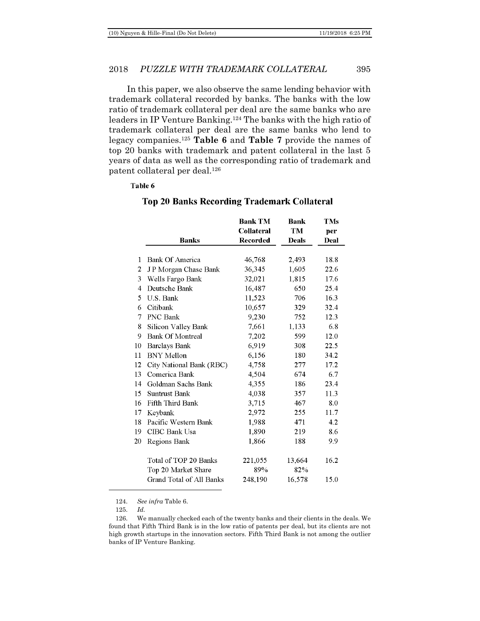In this paper, we also observe the same lending behavior with trademark collateral recorded by banks. The banks with the low ratio of trademark collateral per deal are the same banks who are leaders in IP Venture Banking. <sup>124</sup> The banks with the high ratio of trademark collateral per deal are the same banks who lend to legacy companies.<sup>125</sup> **Table 6** and **Table 7** provide the names of top 20 banks with trademark and patent collateral in the last 5 years of data as well as the corresponding ratio of trademark and patent collateral per deal.<sup>126</sup>

### Table 6

|                |                          | Bank TM           | Bank         | TMs  |
|----------------|--------------------------|-------------------|--------------|------|
|                |                          | <b>Collateral</b> | TM           | per  |
|                | <b>Banks</b>             | <b>Recorded</b>   | <b>Deals</b> | Deal |
|                |                          |                   |              |      |
| 1              | Bank Of America          | 46,768            | 2,493        | 18.8 |
| 2              | JP Morgan Chase Bank     | 36,345            | 1,605        | 22.6 |
| 3              | Wells Fargo Bank         | 32,021            | 1,815        | 17.6 |
| $\overline{4}$ | Deutsche Bank            | 16,487            | 650          | 25.4 |
| 5              | U.S. Bank                | 11,523            | 706          | 16.3 |
| 6              | Citibank                 | 10,657            | 329          | 32.4 |
| 7              | PNC Bank                 | 9,230             | 752          | 12.3 |
| 8              | Silicon Valley Bank      | 7.661             | 1,133        | 6.8  |
| 9              | <b>Bank Of Montreal</b>  | 7,202             | 599          | 12.0 |
| 10             | <b>Barclays Bank</b>     | 6,919             | 308          | 22.5 |
| 11             | <b>BNY</b> Mellon        | 6,156             | 180          | 34.2 |
| 12             | City National Bank (RBC) | 4,758             | 277          | 17.2 |
| 13             | Comerica Bank            | 4,504             | 674          | 6.7  |
| 14             | Goldman Sachs Bank       | 4.355             | 186          | 23.4 |
| 15             | <b>Suntrust Bank</b>     | 4,038             | 357          | 11.3 |
| 16             | Fifth Third Bank         | 3,715             | 467          | 8.0  |
| 17             | Keybank                  | 2.972             | 255          | 11.7 |
| 18             | Pacific Western Bank     | 1.988             | 471          | 4.2  |
| 19             | CIBC Bank Usa            | 1,890             | 219          | 8.6  |
| 20             | Regions Bank             | 1,866             | 188          | 9.9  |
|                | Total of TOP 20 Banks    | 221,055           | 13,664       | 16.2 |
|                | Top 20 Market Share      | 89%               | 82%          |      |
|                | Grand Total of All Banks | 248,190           | 16,578       | 15.0 |

### **Top 20 Banks Recording Trademark Collateral**

124. *See infra* Table 6.

125. *Id.*

<sup>126.</sup> We manually checked each of the twenty banks and their clients in the deals. We found that Fifth Third Bank is in the low ratio of patents per deal, but its clients are not high growth startups in the innovation sectors. Fifth Third Bank is not among the outlier banks of IP Venture Banking.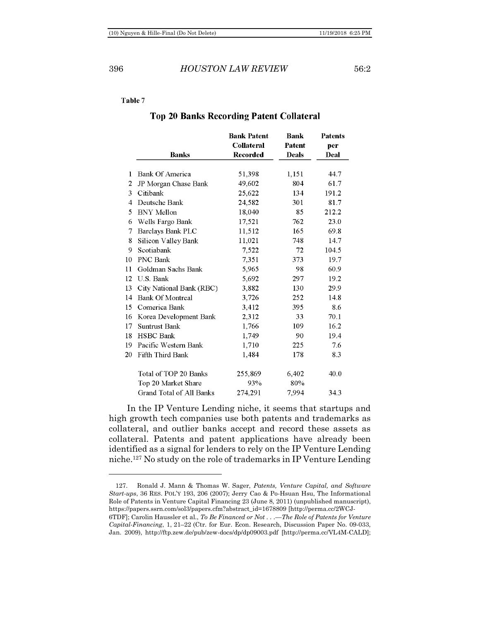### 396 *HOUSTON LAW REVIEW* 56:2

### Table 7

### **Top 20 Banks Recording Patent Collateral**

|    |                          | <b>Bank Patent</b><br><b>Collateral</b> | <b>Bank</b><br><b>Patent</b> | <b>Patents</b><br>per |
|----|--------------------------|-----------------------------------------|------------------------------|-----------------------|
|    | <b>Banks</b>             | <b>Recorded</b>                         | <b>Deals</b>                 | Deal                  |
| 1  | Bank Of America          | 51,398                                  | 1,151                        | 44.7                  |
| 2  | JP Morgan Chase Bank     | 49,602                                  | 804                          | 61.7                  |
| 3  | Citibank                 | 25,622                                  | 134                          | 191.2                 |
| 4  | Deutsche Bank            | 24,582                                  | 301                          | 81.7                  |
| 5  | <b>BNY</b> Mellon        | 18,040                                  | 85                           | 212.2                 |
| 6  | Wells Fargo Bank         | 17,521                                  | 762                          | 23.0                  |
| 7  | Barclays Bank PLC        | 11,512                                  | 165                          | 69.8                  |
| 8  | Silicon Valley Bank      | 11,021                                  | 748                          | 14.7                  |
| 9  | Scotiabank               | 7,522                                   | 72                           | 104.5                 |
| 10 | <b>PNC Bank</b>          | 7,351                                   | 373                          | 19.7                  |
| 11 | Goldman Sachs Bank       | 5,965                                   | 98                           | 60.9                  |
| 12 | U.S. Bank                | 5,692                                   | 297                          | 19.2                  |
| 13 | City National Bank (RBC) | 3,882                                   | 130                          | 29.9                  |
| 14 | <b>Bank Of Montreal</b>  | 3,726                                   | 252                          | 14.8                  |
| 15 | Comerica Bank            | 3,412                                   | 395                          | 8.6                   |
| 16 | Korea Development Bank   | 2,312                                   | 33                           | 70.1                  |
| 17 | <b>Suntrust Bank</b>     | 1,766                                   | 109                          | 16.2                  |
| 18 | <b>HSBC</b> Bank         | 1,749                                   | 90                           | 19.4                  |
| 19 | Pacific Western Bank     | 1,710                                   | 225                          | 7.6                   |
| 20 | Fifth Third Bank         | 1,484                                   | 178                          | 8.3                   |
|    | Total of TOP 20 Banks    | 255,869                                 | 6,402                        | 40.0                  |
|    | Top 20 Market Share      | 93%                                     | 80%                          |                       |
|    | Grand Total of All Banks | 274.291                                 | 7,994                        | 34.3                  |

In the IP Venture Lending niche, it seems that startups and high growth tech companies use both patents and trademarks as collateral, and outlier banks accept and record these assets as collateral. Patents and patent applications have already been identified as a signal for lenders to rely on the IP Venture Lending niche.<sup>127</sup> No study on the role of trademarks in IP Venture Lending

<sup>127.</sup> Ronald J. Mann & Thomas W. Sager, *Patents, Venture Capital, and Software Start-ups*, 36 RES. POL'Y 193, 206 (2007); Jerry Cao & Po-Hsuan Hsu, The Informational Role of Patents in Venture Capital Financing 23 (June 8, 2011) (unpublished manuscript), https://papers.ssrn.com/sol3/papers.cfm?abstract\_id=1678809 [http://perma.cc/2WCJ-

<sup>6</sup>TDF]; Carolin Haussler et al., *To Be Financed or Not . . .—The Role of Patents for Venture Capital-Financing*, 1, 21–22 (Ctr. for Eur. Econ. Research, Discussion Paper No. 09-033, Jan. 2009), http://ftp.zew.de/pub/zew-docs/dp/dp09003.pdf [http://perma.cc/VL4M-CALD];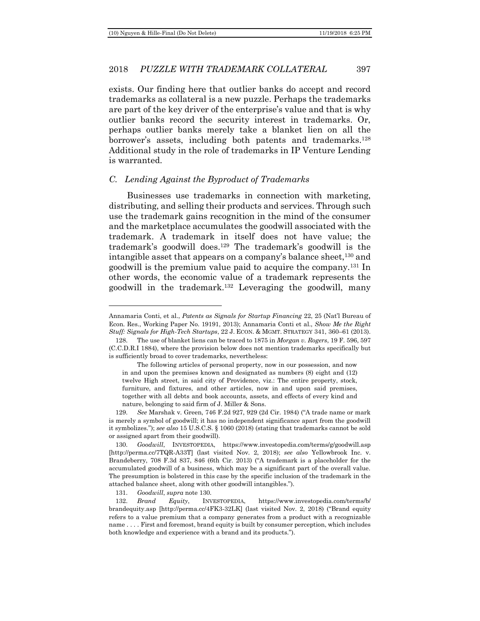exists. Our finding here that outlier banks do accept and record trademarks as collateral is a new puzzle. Perhaps the trademarks are part of the key driver of the enterprise's value and that is why outlier banks record the security interest in trademarks. Or, perhaps outlier banks merely take a blanket lien on all the borrower's assets, including both patents and trademarks.<sup>128</sup> Additional study in the role of trademarks in IP Venture Lending is warranted.

### <span id="page-32-0"></span>*C. Lending Against the Byproduct of Trademarks*

<span id="page-32-1"></span>Businesses use trademarks in connection with marketing, distributing, and selling their products and services. Through such use the trademark gains recognition in the mind of the consumer and the marketplace accumulates the goodwill associated with the trademark. A trademark in itself does not have value; the trademark's goodwill does.<sup>129</sup> The trademark's goodwill is the intangible asset that appears on a company's balance sheet,<sup>130</sup> and goodwill is the premium value paid to acquire the company.<sup>131</sup> In other words, the economic value of a trademark represents the goodwill in the trademark.<sup>132</sup> Leveraging the goodwill, many

131. *Goodwill*, *supra* not[e 130.](#page-32-1)

Annamaria Conti, et al., *Patents as Signals for Startup Financing* 22, 25 (Nat'l Bureau of Econ. Res., Working Paper No. 19191, 2013); Annamaria Conti et al., *Show Me the Right Stuff: Signals for High-Tech Startups*, 22 J. ECON. & MGMT. STRATEGY 341, 360–61 (2013).

<sup>128.</sup> The use of blanket liens can be traced to 1875 in *Morgan v. Rogers*, 19 F. 596, 597 (C.C.D.R.I 1884), where the provision below does not mention trademarks specifically but is sufficiently broad to cover trademarks, nevertheless:

The following articles of personal property, now in our possession, and now in and upon the premises known and designated as numbers (8) eight and (12) twelve High street, in said city of Providence, viz.: The entire property, stock, furniture, and fixtures, and other articles, now in and upon said premises, together with all debts and book accounts, assets, and effects of every kind and nature, belonging to said firm of J. Miller & Sons.

<sup>129.</sup> *See* Marshak v. Green, 746 F.2d 927, 929 (2d Cir. 1984) ("A trade name or mark is merely a symbol of goodwill; it has no independent significance apart from the goodwill it symbolizes."); *see also* 15 U.S.C.S. § 1060 (2018) (stating that trademarks cannot be sold or assigned apart from their goodwill).

<sup>130.</sup> *Goodwill*, INVESTOPEDIA, <https://www.investopedia.com/terms/g/goodwill.asp> [http://perma.cc/7TQR-A33T] (last visited Nov. 2, 2018); *see also* Yellowbrook Inc. v. Brandeberry, 708 F.3d 837, 846 (6th Cir. 2013) ("A trademark is a placeholder for the accumulated goodwill of a business, which may be a significant part of the overall value. The presumption is bolstered in this case by the specific inclusion of the trademark in the attached balance sheet, along with other goodwill intangibles.").

<sup>132.</sup> *Brand Equity*, INVESTOPEDIA, https://www.investopedia.com/terms/b/ brandequity.asp [http://perma.cc/4FK3-32LK] (last visited Nov. 2, 2018) ("Brand equity refers to a value premium that a company generates from a product with a recognizable name . . . . First and foremost, brand equity is built by consumer perception, which includes both knowledge and experience with a brand and its products.").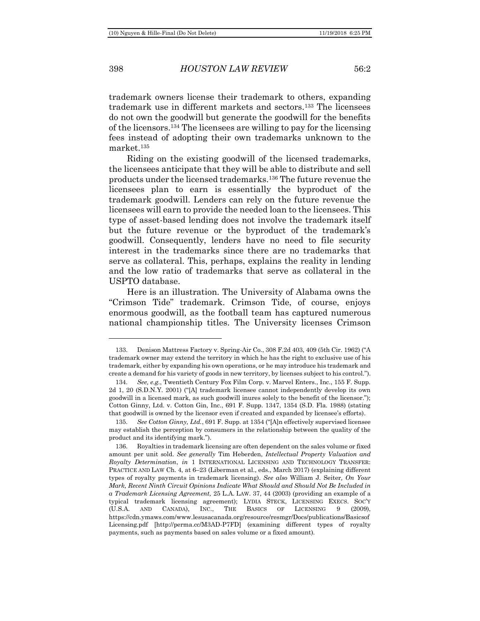trademark owners license their trademark to others, expanding trademark use in different markets and sectors.<sup>133</sup> The licensees do not own the goodwill but generate the goodwill for the benefits of the licensors.<sup>134</sup> The licensees are willing to pay for the licensing fees instead of adopting their own trademarks unknown to the market.<sup>135</sup>

Riding on the existing goodwill of the licensed trademarks, the licensees anticipate that they will be able to distribute and sell products under the licensed trademarks.<sup>136</sup> The future revenue the licensees plan to earn is essentially the byproduct of the trademark goodwill. Lenders can rely on the future revenue the licensees will earn to provide the needed loan to the licensees. This type of asset-based lending does not involve the trademark itself but the future revenue or the byproduct of the trademark's goodwill. Consequently, lenders have no need to file security interest in the trademarks since there are no trademarks that serve as collateral. This, perhaps, explains the reality in lending and the low ratio of trademarks that serve as collateral in the USPTO database.

Here is an illustration. The University of Alabama owns the "Crimson Tide" trademark. Crimson Tide, of course, enjoys enormous goodwill, as the football team has captured numerous national championship titles. The University licenses Crimson

<sup>133.</sup> Denison Mattress Factory v. Spring-Air Co., 308 F.2d 403, 409 (5th Cir. 1962) ("A trademark owner may extend the territory in which he has the right to exclusive use of his trademark, either by expanding his own operations, or he may introduce his trademark and create a demand for his variety of goods in new territory, by licenses subject to his control.").

<sup>134.</sup> *See, e.g.*, Twentieth Century Fox Film Corp. v. Marvel Enters., Inc., 155 F. Supp. 2d 1, 20 (S.D.N.Y. 2001) ("[A] trademark licensee cannot independently develop its own goodwill in a licensed mark, as such goodwill inures solely to the benefit of the licensor."); Cotton Ginny, Ltd. v. Cotton Gin, Inc., 691 F. Supp. 1347, 1354 (S.D. Fla. 1988) (stating that goodwill is owned by the licensor even if created and expanded by licensee's efforts).

<sup>135.</sup> *See Cotton Ginny, Ltd.*, 691 F. Supp. at 1354 ("[A]n effectively supervised licensee may establish the perception by consumers in the relationship between the quality of the product and its identifying mark.").

<sup>136.</sup> Royalties in trademark licensing are often dependent on the sales volume or fixed amount per unit sold. *See generally* Tim Heberden, *Intellectual Property Valuation and Royalty Determination*, *in* 1 INTERNATIONAL LICENSING AND TECHNOLOGY TRANSFER: PRACTICE AND LAW Ch. 4, at 6–23 (Liberman et al., eds., March 2017) (explaining different types of royalty payments in trademark licensing). *See also* William J. Seiter*, On Your Mark, Recent Ninth Circuit Opinions Indicate What Should and Should Not Be Included in a Trademark Licensing Agreement,* 25 L.A. LAW. 37, 44 (2003) (providing an example of a typical trademark licensing agreement); LYDIA STECK, LICENSING EXECS. SOC'Y (U.S.A. AND CANADA), INC., THE BASICS OF LICENSING 9 (2009), https://cdn.ymaws.com/www.lesusacanada.org/resource/resmgr/Docs/publications/Basicsof Licensing.pdf [http://perma.cc/M3AD-P7FD] (examining different types of royalty payments, such as payments based on sales volume or a fixed amount).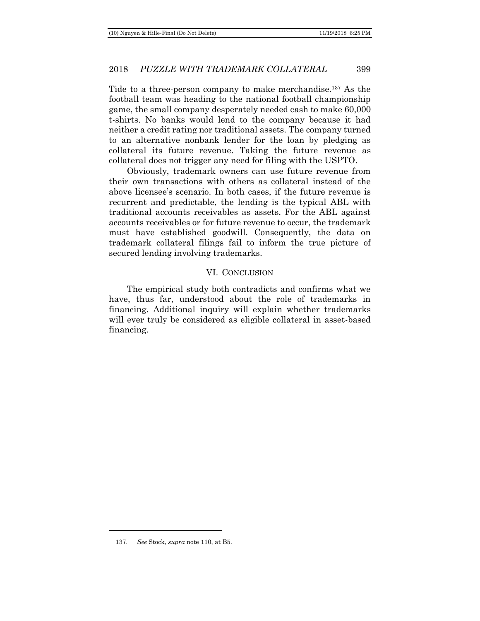Tide to a three-person company to make merchandise.<sup>137</sup> As the football team was heading to the national football championship game, the small company desperately needed cash to make 60,000 t-shirts. No banks would lend to the company because it had neither a credit rating nor traditional assets. The company turned to an alternative nonbank lender for the loan by pledging as collateral its future revenue. Taking the future revenue as collateral does not trigger any need for filing with the USPTO.

Obviously, trademark owners can use future revenue from their own transactions with others as collateral instead of the above licensee's scenario. In both cases, if the future revenue is recurrent and predictable, the lending is the typical ABL with traditional accounts receivables as assets. For the ABL against accounts receivables or for future revenue to occur, the trademark must have established goodwill. Consequently, the data on trademark collateral filings fail to inform the true picture of secured lending involving trademarks.

### VI. CONCLUSION

<span id="page-34-0"></span>The empirical study both contradicts and confirms what we have, thus far, understood about the role of trademarks in financing. Additional inquiry will explain whether trademarks will ever truly be considered as eligible collateral in asset-based financing.

<sup>137.</sup> *See* Stock, *supra* not[e 110,](#page-26-0) at B5.